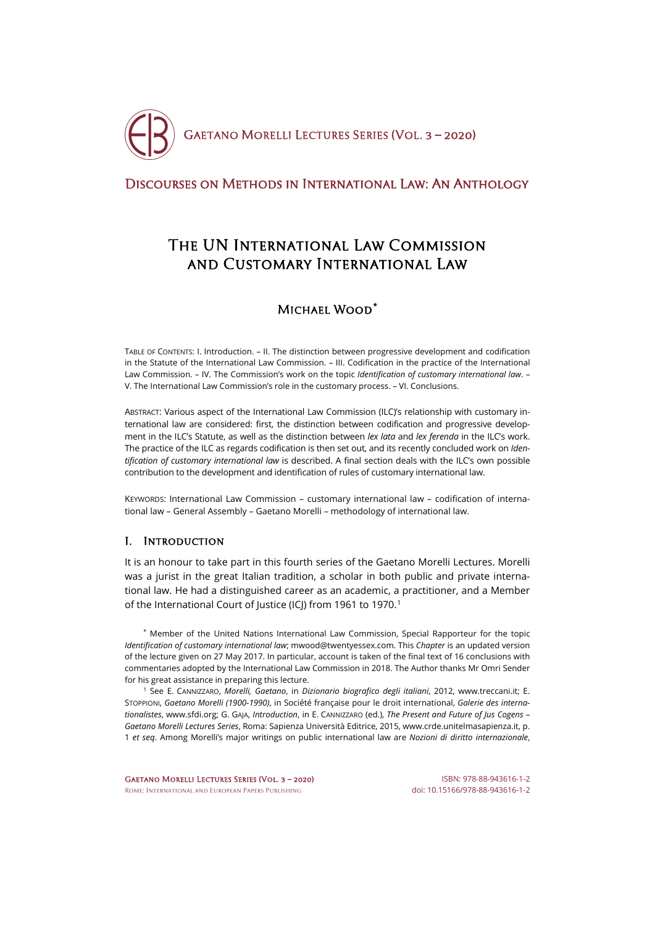

## [Discourses on Methods in International Law: An Anthology](http://crde.unitelmasapienza.it/en/publications/gmls-2020)

# The UN International Law Commission and Customary International Law

# Michael Wood**[\\*](#page-0-0)**

TABLE OF CONTENTS: I. Introduction. – II. The distinction between progressive development and codification in the Statute of the International Law Commission. – III. Codification in the practice of the International Law Commission. – IV. The Commission's work on the topic *Identification of customary international law*. – V. The International Law Commission's role in the customary process. – VI. Conclusions.

ABSTRACT: Various aspect of the International Law Commission (ILC)'s relationship with customary international law are considered: first, the distinction between codification and progressive development in the ILC's Statute, as well as the distinction between *lex lata* and *lex ferenda* in the ILC's work. The practice of the ILC as regards codification is then set out, and its recently concluded work on *Identification of customary international law* is described. A final section deals with the ILC's own possible contribution to the development and identification of rules of customary international law.

KEYWORDS: International Law Commission – customary international law – codification of international law – General Assembly – Gaetano Morelli – methodology of international law.

### I. Introduction

It is an honour to take part in this fourth series of the Gaetano Morelli Lectures. Morelli was a jurist in the great Italian tradition, a scholar in both public and private international law. He had a distinguished career as an academic, a practitioner, and a Member of the International Court of Justice (ICJ) from [1](#page-0-1)961 to 1970.<sup>1</sup>

<span id="page-0-0"></span>\* Member of the United Nations International Law Commission, Special Rapporteur for the topic *Identification of customary international law*; mwood@twentyessex.com. This *Chapter* is an updated version of the lecture given on 27 May 2017. In particular, account is taken of the final text of 16 conclusions with commentaries adopted by the International Law Commission in 2018. The Author thanks Mr Omri Sender for his great assistance in preparing this lecture.

<span id="page-0-1"></span><sup>1</sup> See E. CANNIZZARO, *Morelli, Gaetano*, in *Dizionario biografico degli italiani*, 2012, [www.treccani.it;](http://www.treccani.it/enciclopedia/gaetano-morelli_(Dizionario-Biografico)) E. STOPPIONI, *Gaetano Morelli (1900-1990)*, in Société française pour le droit international, *Galerie des internationalistes*[, www.sfdi.org;](http://www.sfdi.org/internationalistes/morelli/) G. GAJA, *Introduction*, in E. CANNIZZARO (ed.), *The Present and Future of Jus Cogens – Gaetano Morelli Lectures Series*, Roma: Sapienza Università Editrice, 2015[, www.crde.unitelmasapienza.it,](http://crde.unitelmasapienza.it/en/publications/gmls-2015) p. 1 *et seq*. Among Morelli's major writings on public international law are *Nozioni di diritto internazionale*,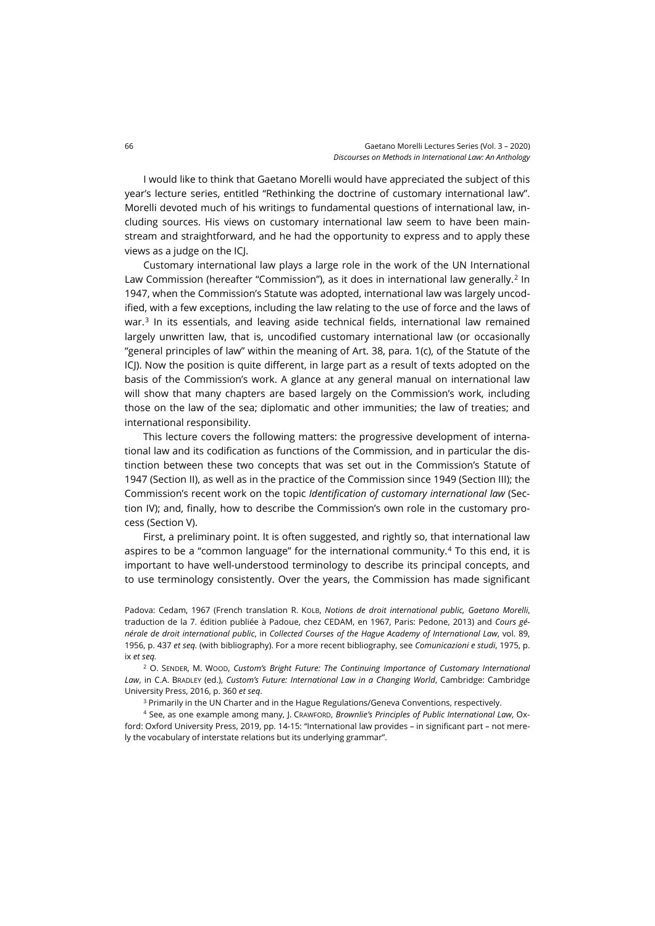I would like to think that Gaetano Morelli would have appreciated the subject of this year's lecture series, entitled "Rethinking the doctrine of customary international law". Morelli devoted much of his writings to fundamental questions of international law, including sources. His views on customary international law seem to have been mainstream and straightforward, and he had the opportunity to express and to apply these views as a judge on the ICJ.

Customary international law plays a large role in the work of the UN International Law Commission (hereafter "Commission"), as it does in international law generally.<sup>[2](#page-1-0)</sup> In 1947, when the Commission's Statute was adopted, international law was largely uncodified, with a few exceptions, including the law relating to the use of force and the laws of war.<sup>[3](#page-1-1)</sup> In its essentials, and leaving aside technical fields, international law remained largely unwritten law, that is, uncodified customary international law (or occasionally "general principles of law" within the meaning of Art. 38, para. 1(c), of the Statute of the ICJ). Now the position is quite different, in large part as a result of texts adopted on the basis of the Commission's work. A glance at any general manual on international law will show that many chapters are based largely on the Commission's work, including those on the law of the sea; diplomatic and other immunities; the law of treaties; and international responsibility.

This lecture covers the following matters: the progressive development of international law and its codification as functions of the Commission, and in particular the distinction between these two concepts that was set out in the Commission's Statute of 1947 (Section II), as well as in the practice of the Commission since 1949 (Section III); the Commission's recent work on the topic *Identification of customary international law* (Section IV); and, finally, how to describe the Commission's own role in the customary process (Section V).

First, a preliminary point. It is often suggested, and rightly so, that international law aspires to be a "common language" for the international community.[4](#page-1-2) To this end, it is important to have well-understood terminology to describe its principal concepts, and to use terminology consistently. Over the years, the Commission has made significant

Padova: Cedam, 1967 (French translation R. KOLB, *Notions de droit international public, Gaetano Morelli*, traduction de la 7. édition publiée à Padoue, chez CEDAM, en 1967, Paris: Pedone, 2013) and *Cours générale de droit international public*, in *Collected Courses of the Hague Academy of International Law*, vol. 89, 1956, p. 437 *et seq.* (with bibliography). For a more recent bibliography, see *Comunicazioni e studi*, 1975, p. ix *et seq.*

<span id="page-1-0"></span><sup>2</sup> O. SENDER, M. WOOD, *Custom's Bright Future: The Continuing Importance of Customary International Law*, in C.A. BRADLEY (ed.), *Custom's Future: International Law in a Changing World*, Cambridge: Cambridge University Press, 2016, p. 360 *et seq*.

<sup>3</sup> Primarily in the UN Charter and in the Hague Regulations/Geneva Conventions, respectively.

<span id="page-1-2"></span><span id="page-1-1"></span><sup>4</sup> See, as one example among many, J. CRAWFORD, *Brownlie's Principles of Public International Law*, Oxford: Oxford University Press, 2019, pp. 14-15: "International law provides – in significant part – not merely the vocabulary of interstate relations but its underlying grammar".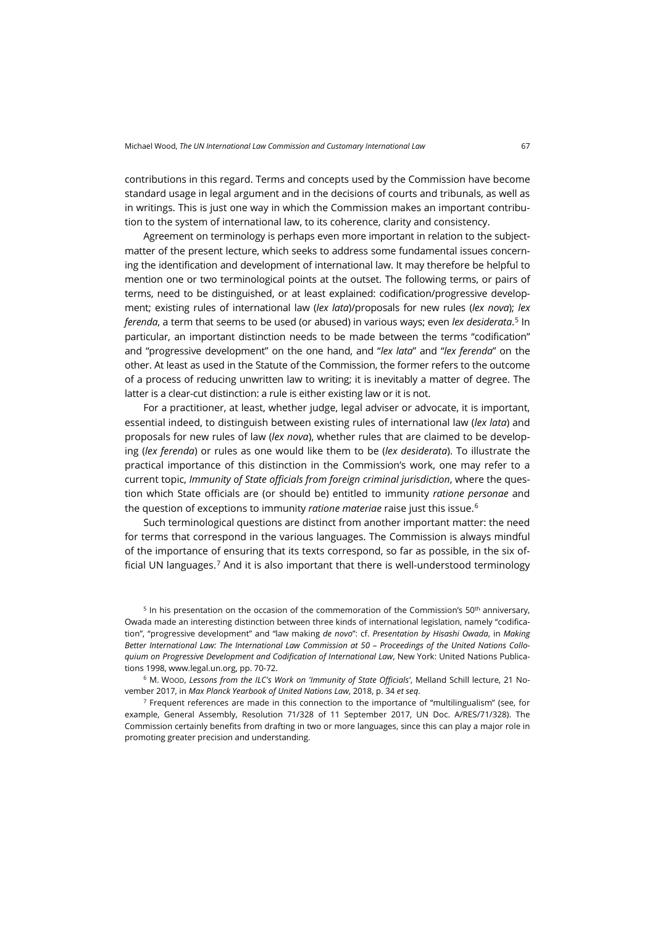contributions in this regard. Terms and concepts used by the Commission have become standard usage in legal argument and in the decisions of courts and tribunals, as well as in writings. This is just one way in which the Commission makes an important contribution to the system of international law, to its coherence, clarity and consistency.

Agreement on terminology is perhaps even more important in relation to the subjectmatter of the present lecture, which seeks to address some fundamental issues concerning the identification and development of international law. It may therefore be helpful to mention one or two terminological points at the outset. The following terms, or pairs of terms, need to be distinguished, or at least explained: codification/progressive development; existing rules of international law (*lex lata*)/proposals for new rules (*lex nova*); *lex ferenda*, a term that seems to be used (or abused) in various ways; even *lex desiderata*. [5](#page-2-0) In particular, an important distinction needs to be made between the terms "codification" and "progressive development" on the one hand, and "*lex lata*" and "*lex ferenda*" on the other. At least as used in the Statute of the Commission, the former refers to the outcome of a process of reducing unwritten law to writing; it is inevitably a matter of degree. The latter is a clear-cut distinction: a rule is either existing law or it is not.

For a practitioner, at least, whether judge, legal adviser or advocate, it is important, essential indeed, to distinguish between existing rules of international law (*lex lata*) and proposals for new rules of law (*lex nova*), whether rules that are claimed to be developing (*lex ferenda*) or rules as one would like them to be (*lex desiderata*). To illustrate the practical importance of this distinction in the Commission's work, one may refer to a current topic, *Immunity of State officials from foreign criminal jurisdiction*, where the question which State officials are (or should be) entitled to immunity *ratione personae* and the question of exceptions to immunity *ratione materiae* raise just this issue.[6](#page-2-1)

Such terminological questions are distinct from another important matter: the need for terms that correspond in the various languages. The Commission is always mindful of the importance of ensuring that its texts correspond, so far as possible, in the six of-ficial UN languages.<sup>[7](#page-2-2)</sup> And it is also important that there is well-understood terminology

<span id="page-2-0"></span> $5$  In his presentation on the occasion of the commemoration of the Commission's 50<sup>th</sup> anniversary, Owada made an interesting distinction between three kinds of international legislation, namely "codification", "progressive development" and "law making *de novo*": cf. *Presentation by Hisashi Owada*, in *Making Better International Law: The International Law Commission at 50 – Proceedings of the United Nations Colloquium on Progressive Development and Codification of International Law*, New York: United Nations Publications 1998, [www.legal.un.org,](http://legal.un.org/cod/books/MakingBetterIntlLaw.pdf) pp. 70-72.

<span id="page-2-1"></span><sup>6</sup> M. WOOD, *Lessons from the ILC's Work on 'Immunity of State Officials'*, Melland Schill lecture, 21 November 2017, in *Max Planck Yearbook of United Nations Law*, 2018, p. 34 *et seq*.

<span id="page-2-2"></span> $<sup>7</sup>$  Frequent references are made in this connection to the importance of "multilingualism" (see, for</sup> example, General Assembly, Resolution 71/328 of 11 September 2017, UN Doc. A/RES/71/328). The Commission certainly benefits from drafting in two or more languages, since this can play a major role in promoting greater precision and understanding.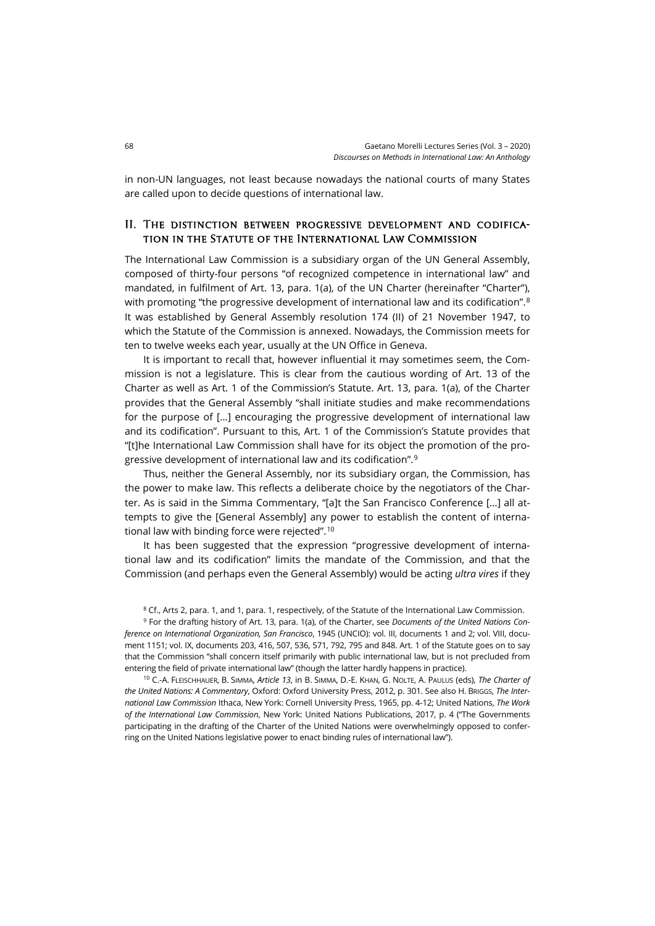in non-UN languages, not least because nowadays the national courts of many States are called upon to decide questions of international law.

#### II. The distinction between progressive development and codification in the Statute of the International Law Commission

The International Law Commission is a subsidiary organ of the UN General Assembly, composed of thirty-four persons "of recognized competence in international law" and mandated, in fulfilment of Art. 13, para. 1(a), of the UN Charter (hereinafter "Charter"), with promoting "the progressive development of international law and its codification".<sup>[8](#page-3-0)</sup> It was established by General Assembly resolution 174 (II) of 21 November 1947, to which the Statute of the Commission is annexed. Nowadays, the Commission meets for ten to twelve weeks each year, usually at the UN Office in Geneva.

It is important to recall that, however influential it may sometimes seem, the Commission is not a legislature. This is clear from the cautious wording of Art. 13 of the Charter as well as Art. 1 of the Commission's Statute. Art. 13, para. 1(a), of the Charter provides that the General Assembly "shall initiate studies and make recommendations for the purpose of […] encouraging the progressive development of international law and its codification". Pursuant to this, Art. 1 of the Commission's Statute provides that "[t]he International Law Commission shall have for its object the promotion of the progressive development of international law and its codification". [9](#page-3-1)

Thus, neither the General Assembly, nor its subsidiary organ, the Commission, has the power to make law. This reflects a deliberate choice by the negotiators of the Charter. As is said in the Simma Commentary, "[a]t the San Francisco Conference […] all attempts to give the [General Assembly] any power to establish the content of international law with binding force were rejected".[10](#page-3-2)

It has been suggested that the expression "progressive development of international law and its codification" limits the mandate of the Commission, and that the Commission (and perhaps even the General Assembly) would be acting *ultra vires* if they

<sup>8</sup> Cf., Arts 2, para. 1, and 1, para. 1, respectively, of the Statute of the International Law Commission.

<span id="page-3-1"></span><span id="page-3-0"></span><sup>9</sup> For the drafting history of Art. 13, para. 1(a), of the Charter, see *Documents of the United Nations Conference on International Organization, San Francisco*, 1945 (UNCIO): vol. III, documents 1 and 2; vol. VIII, document 1151; vol. IX, documents 203, 416, 507, 536, 571, 792, 795 and 848. Art. 1 of the Statute goes on to say that the Commission "shall concern itself primarily with public international law, but is not precluded from entering the field of private international law" (though the latter hardly happens in practice).

<span id="page-3-2"></span><sup>10</sup> C.-A. FLEISCHHAUER, B. SIMMA, *Article 13*, in B. SIMMA, D.-E. KHAN, G. NOLTE, A. PAULUS (eds), *The Charter of the United Nations: A Commentary*, Oxford: Oxford University Press, 2012, p. 301. See also H. BRIGGS, *The International Law Commission* Ithaca, New York: Cornell University Press, 1965, pp. 4-12; United Nations, *The Work of the International Law Commission*, New York: United Nations Publications, 2017, p. 4 ("The Governments participating in the drafting of the Charter of the United Nations were overwhelmingly opposed to conferring on the United Nations legislative power to enact binding rules of international law").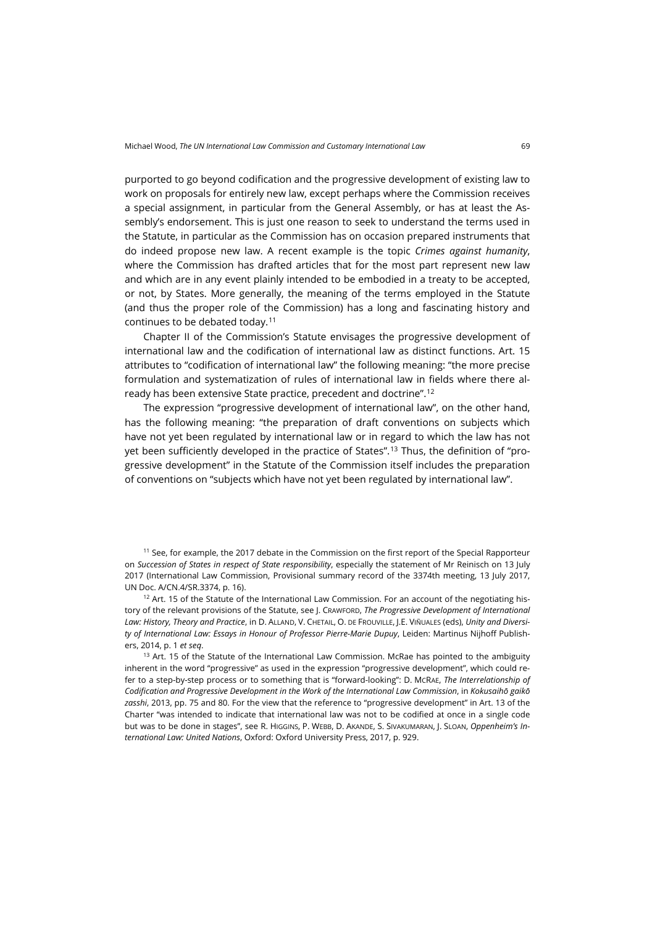purported to go beyond codification and the progressive development of existing law to work on proposals for entirely new law, except perhaps where the Commission receives a special assignment, in particular from the General Assembly, or has at least the Assembly's endorsement. This is just one reason to seek to understand the terms used in the Statute, in particular as the Commission has on occasion prepared instruments that do indeed propose new law. A recent example is the topic *Crimes against humanity*, where the Commission has drafted articles that for the most part represent new law and which are in any event plainly intended to be embodied in a treaty to be accepted, or not, by States. More generally, the meaning of the terms employed in the Statute (and thus the proper role of the Commission) has a long and fascinating history and continues to be debated today.[11](#page-4-0)

Chapter II of the Commission's Statute envisages the progressive development of international law and the codification of international law as distinct functions. Art. 15 attributes to "codification of international law" the following meaning: "the more precise formulation and systematization of rules of international law in fields where there already has been extensive State practice, precedent and doctrine". [12](#page-4-1)

The expression "progressive development of international law", on the other hand, has the following meaning: "the preparation of draft conventions on subjects which have not yet been regulated by international law or in regard to which the law has not yet been sufficiently developed in the practice of States".<sup>[13](#page-4-2)</sup> Thus, the definition of "progressive development" in the Statute of the Commission itself includes the preparation of conventions on "subjects which have not yet been regulated by international law".

<span id="page-4-0"></span><sup>11</sup> See, for example, the 2017 debate in the Commission on the first report of the Special Rapporteur on *Succession of States in respect of State responsibility*, especially the statement of Mr Reinisch on 13 July 2017 (International Law Commission, Provisional summary record of the 3374th meeting, 13 July 2017, UN Doc. A/CN.4/SR.3374, p. 16).

<span id="page-4-1"></span><sup>12</sup> Art. 15 of the Statute of the International Law Commission. For an account of the negotiating history of the relevant provisions of the Statute, see J. CRAWFORD, *The Progressive Development of International Law: History, Theory and Practice*, in D. ALLAND, V. CHETAIL, O. DE FROUVILLE, J.E. VIÑUALES (eds), *Unity and Diversity of International Law: Essays in Honour of Professor Pierre-Marie Dupuy*, Leiden: Martinus Nijhoff Publishers, 2014, p. 1 *et seq*.

<span id="page-4-2"></span><sup>13</sup> Art. 15 of the Statute of the International Law Commission. McRae has pointed to the ambiguity inherent in the word "progressive" as used in the expression "progressive development", which could refer to a step-by-step process or to something that is "forward-looking": D. MCRAE, *The Interrelationship of Codification and Progressive Development in the Work of the International Law Commission*, in *Kokusaihō gaikō zasshi*, 2013, pp. 75 and 80. For the view that the reference to "progressive development" in Art. 13 of the Charter "was intended to indicate that international law was not to be codified at once in a single code but was to be done in stages", see R. HIGGINS, P. WEBB, D. AKANDE, S. SIVAKUMARAN, J. SLOAN, *Oppenheim's International Law: United Nations*, Oxford: Oxford University Press, 2017, p. 929.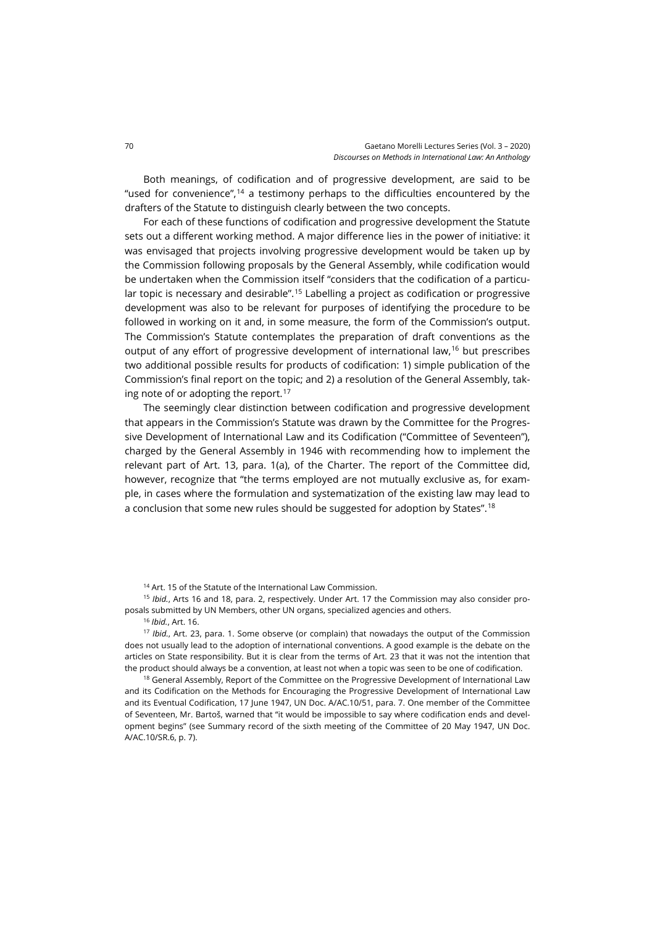Both meanings, of codification and of progressive development, are said to be "used for convenience",<sup>[14](#page-5-0)</sup> a testimony perhaps to the difficulties encountered by the drafters of the Statute to distinguish clearly between the two concepts.

For each of these functions of codification and progressive development the Statute sets out a different working method. A major difference lies in the power of initiative: it was envisaged that projects involving progressive development would be taken up by the Commission following proposals by the General Assembly, while codification would be undertaken when the Commission itself "considers that the codification of a particular topic is necessary and desirable".[15](#page-5-1) Labelling a project as codification or progressive development was also to be relevant for purposes of identifying the procedure to be followed in working on it and, in some measure, the form of the Commission's output. The Commission's Statute contemplates the preparation of draft conventions as the output of any effort of progressive development of international law,<sup>[16](#page-5-2)</sup> but prescribes two additional possible results for products of codification: 1) simple publication of the Commission's final report on the topic; and 2) a resolution of the General Assembly, tak-ing note of or adopting the report.<sup>[17](#page-5-3)</sup>

The seemingly clear distinction between codification and progressive development that appears in the Commission's Statute was drawn by the Committee for the Progressive Development of International Law and its Codification ("Committee of Seventeen"), charged by the General Assembly in 1946 with recommending how to implement the relevant part of Art. 13, para. 1(a), of the Charter. The report of the Committee did, however, recognize that "the terms employed are not mutually exclusive as, for example, in cases where the formulation and systematization of the existing law may lead to a conclusion that some new rules should be suggested for adoption by States". [18](#page-5-4)

<sup>14</sup> Art. 15 of the Statute of the International Law Commission.

<span id="page-5-1"></span><span id="page-5-0"></span><sup>15</sup> *Ibid.*, Arts 16 and 18, para. 2, respectively. Under Art. 17 the Commission may also consider proposals submitted by UN Members, other UN organs, specialized agencies and others.

<sup>16</sup> *Ibid.*, Art. 16.

<span id="page-5-3"></span><span id="page-5-2"></span><sup>17</sup> *Ibid.*, Art. 23, para. 1. Some observe (or complain) that nowadays the output of the Commission does not usually lead to the adoption of international conventions. A good example is the debate on the articles on State responsibility. But it is clear from the terms of Art. 23 that it was not the intention that the product should always be a convention, at least not when a topic was seen to be one of codification.

<span id="page-5-4"></span><sup>18</sup> General Assembly, Report of the Committee on the Progressive Development of International Law and its Codification on the Methods for Encouraging the Progressive Development of International Law and its Eventual Codification, 17 June 1947, UN Doc. A/AC.10/51, para. 7. One member of the Committee of Seventeen, Mr. Bartoš, warned that "it would be impossible to say where codification ends and development begins" (see Summary record of the sixth meeting of the Committee of 20 May 1947, UN Doc. A/AC.10/SR.6, p. 7).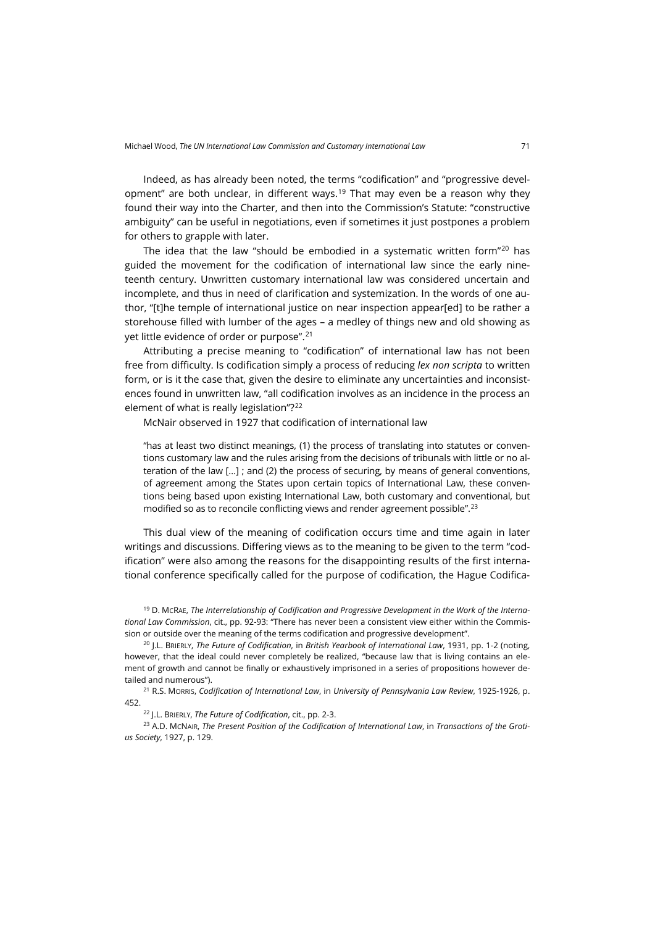Indeed, as has already been noted, the terms "codification" and "progressive devel-opment" are both unclear, in different ways.<sup>[19](#page-6-0)</sup> That may even be a reason why they found their way into the Charter, and then into the Commission's Statute: "constructive ambiguity" can be useful in negotiations, even if sometimes it just postpones a problem for others to grapple with later.

The idea that the law "should be embodied in a systematic written form" $20$  has guided the movement for the codification of international law since the early nineteenth century. Unwritten customary international law was considered uncertain and incomplete, and thus in need of clarification and systemization. In the words of one author, "[t]he temple of international justice on near inspection appear[ed] to be rather a storehouse filled with lumber of the ages – a medley of things new and old showing as yet little evidence of order or purpose".<sup>[21](#page-6-2)</sup>

Attributing a precise meaning to "codification" of international law has not been free from difficulty. Is codification simply a process of reducing *lex non scripta* to written form, or is it the case that, given the desire to eliminate any uncertainties and inconsistences found in unwritten law, "all codification involves as an incidence in the process an element of what is really legislation"?[22](#page-6-3)

McNair observed in 1927 that codification of international law

"has at least two distinct meanings, (1) the process of translating into statutes or conventions customary law and the rules arising from the decisions of tribunals with little or no alteration of the law […] ; and (2) the process of securing, by means of general conventions, of agreement among the States upon certain topics of International Law, these conventions being based upon existing International Law, both customary and conventional, but modified so as to reconcile conflicting views and render agreement possible". [23](#page-6-4)

This dual view of the meaning of codification occurs time and time again in later writings and discussions. Differing views as to the meaning to be given to the term "codification" were also among the reasons for the disappointing results of the first international conference specifically called for the purpose of codification, the Hague Codifica-

<span id="page-6-0"></span><sup>19</sup> D. MCRAE, *The Interrelationship of Codification and Progressive Development in the Work of the International Law Commission*, cit., pp. 92-93: "There has never been a consistent view either within the Commission or outside over the meaning of the terms codification and progressive development".

<span id="page-6-1"></span><sup>20</sup> J.L. BRIERLY, *The Future of Codification*, in *British Yearbook of International Law*, 1931, pp. 1-2 (noting, however, that the ideal could never completely be realized, "because law that is living contains an element of growth and cannot be finally or exhaustively imprisoned in a series of propositions however detailed and numerous").

<span id="page-6-2"></span><sup>21</sup> R.S. MORRIS, *Codification of International Law*, in *University of Pennsylvania Law Review*, 1925-1926, p. 452.

<sup>22</sup> J.L. BRIERLY, *The Future of Codification*, cit., pp. 2-3.

<span id="page-6-4"></span><span id="page-6-3"></span><sup>23</sup> A.D. MCNAIR, *The Present Position of the Codification of International Law*, in *Transactions of the Grotius Society*, 1927, p. 129.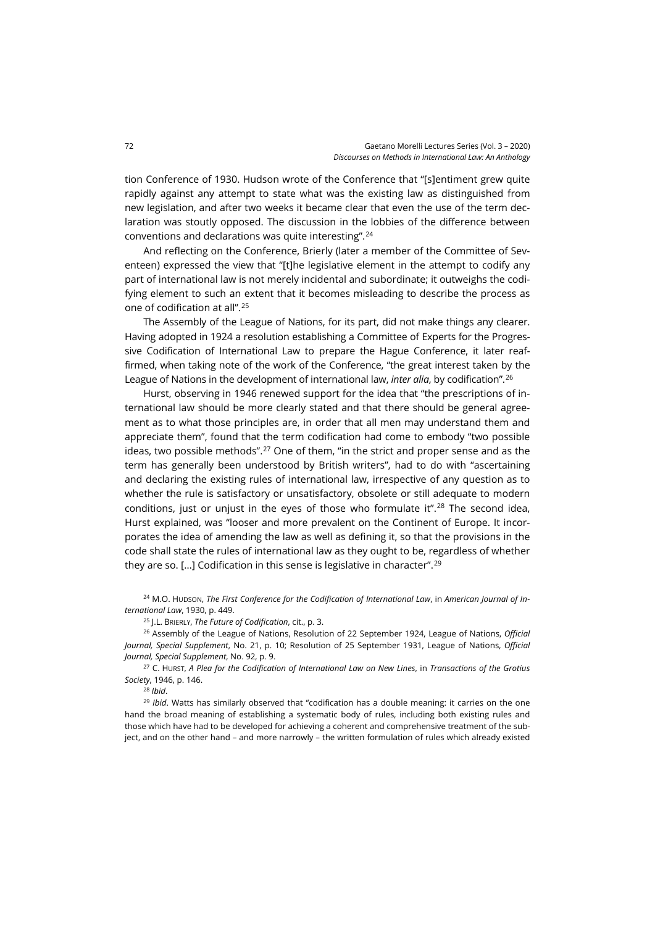tion Conference of 1930. Hudson wrote of the Conference that "[s]entiment grew quite rapidly against any attempt to state what was the existing law as distinguished from new legislation, and after two weeks it became clear that even the use of the term declaration was stoutly opposed. The discussion in the lobbies of the difference between conventions and declarations was quite interesting". [24](#page-7-0)

And reflecting on the Conference, Brierly (later a member of the Committee of Seventeen) expressed the view that "[t]he legislative element in the attempt to codify any part of international law is not merely incidental and subordinate; it outweighs the codifying element to such an extent that it becomes misleading to describe the process as one of codification at all". [25](#page-7-1)

The Assembly of the League of Nations, for its part, did not make things any clearer. Having adopted in 1924 a resolution establishing a Committee of Experts for the Progressive Codification of International Law to prepare the Hague Conference, it later reaffirmed, when taking note of the work of the Conference, "the great interest taken by the League of Nations in the development of international law, *inter alia*, by codification".[26](#page-7-2)

Hurst, observing in 1946 renewed support for the idea that "the prescriptions of international law should be more clearly stated and that there should be general agreement as to what those principles are, in order that all men may understand them and appreciate them", found that the term codification had come to embody "two possible ideas, two possible methods".<sup>[27](#page-7-3)</sup> One of them, "in the strict and proper sense and as the term has generally been understood by British writers", had to do with "ascertaining and declaring the existing rules of international law, irrespective of any question as to whether the rule is satisfactory or unsatisfactory, obsolete or still adequate to modern conditions, just or unjust in the eyes of those who formulate it".<sup>[28](#page-7-4)</sup> The second idea, Hurst explained, was "looser and more prevalent on the Continent of Europe. It incorporates the idea of amending the law as well as defining it, so that the provisions in the code shall state the rules of international law as they ought to be, regardless of whether they are so. […] Codification in this sense is legislative in character". [29](#page-7-5)

<span id="page-7-0"></span><sup>24</sup> M.O. HUDSON, *The First Conference for the Codification of International Law*, in *American Journal of International Law*, 1930, p. 449.

<sup>25</sup> J.L. BRIERLY, *The Future of Codification*, cit., p. 3.

<span id="page-7-2"></span><span id="page-7-1"></span><sup>26</sup> Assembly of the League of Nations, Resolution of 22 September 1924, League of Nations, *Official Journal, Special Supplement*, No. 21, p. 10; Resolution of 25 September 1931, League of Nations, *Official Journal, Special Supplement*, No. 92, p. 9.

<span id="page-7-3"></span><sup>27</sup> C. HURST, *A Plea for the Codification of International Law on New Lines*, in *Transactions of the Grotius Society*, 1946, p. 146.

<sup>28</sup> *Ibid*.

<span id="page-7-5"></span><span id="page-7-4"></span><sup>29</sup> *Ibid*. Watts has similarly observed that "codification has a double meaning: it carries on the one hand the broad meaning of establishing a systematic body of rules, including both existing rules and those which have had to be developed for achieving a coherent and comprehensive treatment of the subject, and on the other hand – and more narrowly – the written formulation of rules which already existed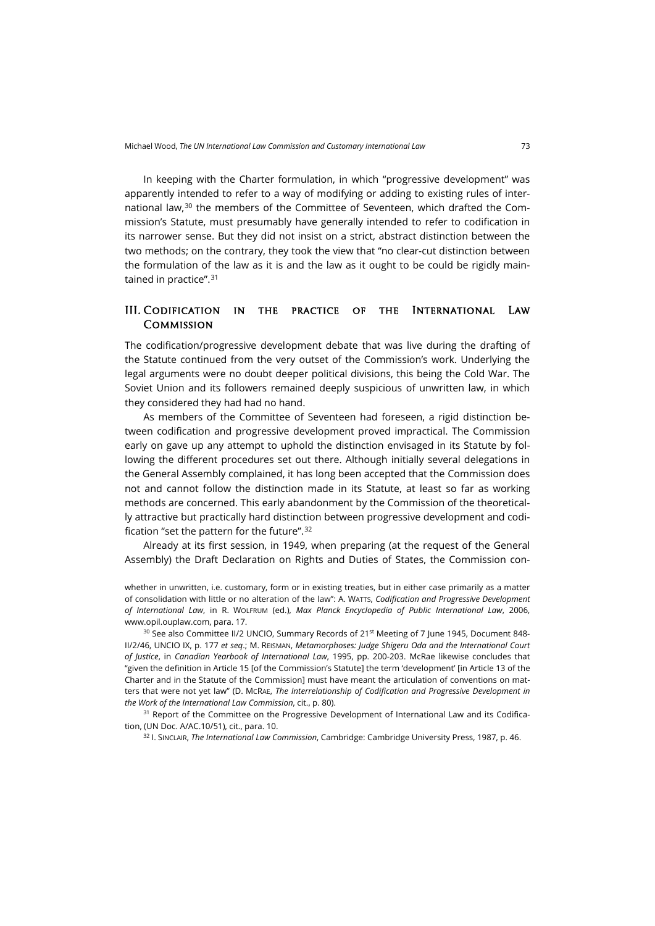In keeping with the Charter formulation, in which "progressive development" was apparently intended to refer to a way of modifying or adding to existing rules of international law, $30$  the members of the Committee of Seventeen, which drafted the Commission's Statute, must presumably have generally intended to refer to codification in its narrower sense. But they did not insist on a strict, abstract distinction between the two methods; on the contrary, they took the view that "no clear-cut distinction between the formulation of the law as it is and the law as it ought to be could be rigidly main-tained in practice".<sup>[31](#page-8-1)</sup>

#### III. Codification in the practice of the International Law **COMMISSION**

The codification/progressive development debate that was live during the drafting of the Statute continued from the very outset of the Commission's work. Underlying the legal arguments were no doubt deeper political divisions, this being the Cold War. The Soviet Union and its followers remained deeply suspicious of unwritten law, in which they considered they had had no hand.

As members of the Committee of Seventeen had foreseen, a rigid distinction between codification and progressive development proved impractical. The Commission early on gave up any attempt to uphold the distinction envisaged in its Statute by following the different procedures set out there. Although initially several delegations in the General Assembly complained, it has long been accepted that the Commission does not and cannot follow the distinction made in its Statute, at least so far as working methods are concerned. This early abandonment by the Commission of the theoretically attractive but practically hard distinction between progressive development and codification "set the pattern for the future".[32](#page-8-2)

Already at its first session, in 1949, when preparing (at the request of the General Assembly) the Draft Declaration on Rights and Duties of States, the Commission con-

whether in unwritten, i.e. customary, form or in existing treaties, but in either case primarily as a matter of consolidation with little or no alteration of the law": A. WATTS, *Codification and Progressive Development of International Law*, in R. WOLFRUM (ed.), *Max Planck Encyclopedia of Public International Law*, 2006, [www.opil.ouplaw.com,](http://www.opil.ouplaw.com/) para. 17.

<span id="page-8-0"></span><sup>30</sup> See also Committee II/2 UNCIO, Summary Records of 21<sup>st</sup> Meeting of 7 June 1945, Document 848-II/2/46, UNCIO IX, p. 177 *et seq*.; M. REISMAN, *Metamorphoses: Judge Shigeru Oda and the International Court of Justice*, in *Canadian Yearbook of International Law*, 1995, pp. 200-203. McRae likewise concludes that "given the definition in Article 15 [of the Commission's Statute] the term 'development' [in Article 13 of the Charter and in the Statute of the Commission] must have meant the articulation of conventions on matters that were not yet law" (D. MCRAE, *The Interrelationship of Codification and Progressive Development in the Work of the International Law Commission*, cit., p. 80).

<span id="page-8-2"></span><span id="page-8-1"></span><sup>31</sup> Report of the Committee on the Progressive Development of International Law and its Codification, (UN Doc. A/AC.10/51), cit., para. 10.

<sup>32</sup> I. SINCLAIR, *The International Law Commission*, Cambridge: Cambridge University Press, 1987, p. 46.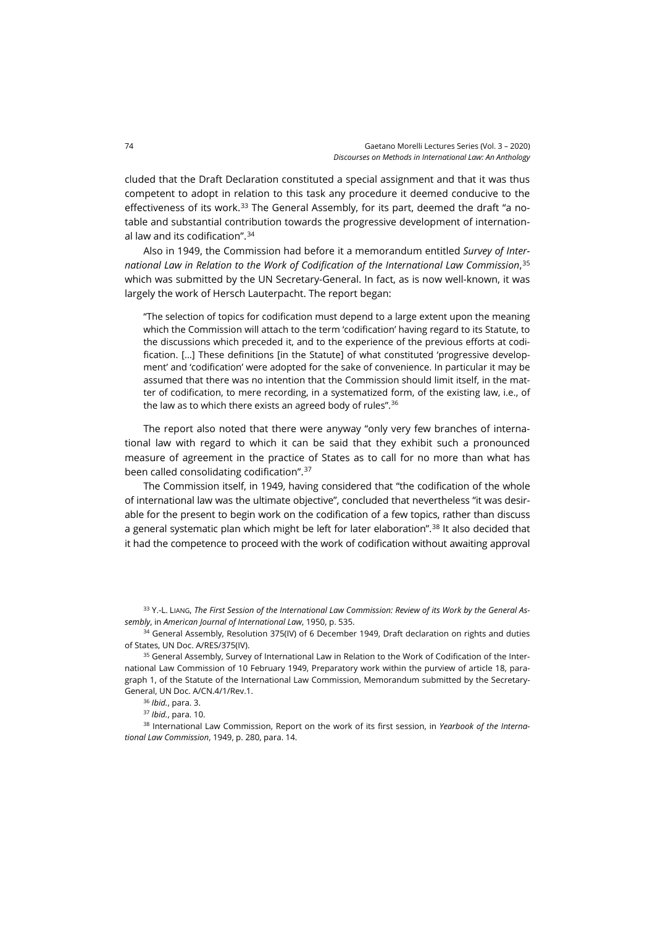cluded that the Draft Declaration constituted a special assignment and that it was thus competent to adopt in relation to this task any procedure it deemed conducive to the effectiveness of its work.<sup>[33](#page-9-0)</sup> The General Assembly, for its part, deemed the draft "a notable and substantial contribution towards the progressive development of international law and its codification".[34](#page-9-1)

Also in 1949, the Commission had before it a memorandum entitled *Survey of International Law in Relation to the Work of Codification of the International Law Commission*, [35](#page-9-2) which was submitted by the UN Secretary-General. In fact, as is now well-known, it was largely the work of Hersch Lauterpacht. The report began:

"The selection of topics for codification must depend to a large extent upon the meaning which the Commission will attach to the term 'codification' having regard to its Statute, to the discussions which preceded it, and to the experience of the previous efforts at codification. […] These definitions [in the Statute] of what constituted 'progressive development' and 'codification' were adopted for the sake of convenience. In particular it may be assumed that there was no intention that the Commission should limit itself, in the matter of codification, to mere recording, in a systematized form, of the existing law, i.e., of the law as to which there exists an agreed body of rules". [36](#page-9-3)

The report also noted that there were anyway "only very few branches of international law with regard to which it can be said that they exhibit such a pronounced measure of agreement in the practice of States as to call for no more than what has been called consolidating codification". [37](#page-9-4)

The Commission itself, in 1949, having considered that "the codification of the whole of international law was the ultimate objective", concluded that nevertheless "it was desirable for the present to begin work on the codification of a few topics, rather than discuss a general systematic plan which might be left for later elaboration".<sup>[38](#page-9-5)</sup> It also decided that it had the competence to proceed with the work of codification without awaiting approval

<span id="page-9-1"></span><span id="page-9-0"></span><sup>33</sup> Y.-L. LIANG, *The First Session of the International Law Commission: Review of its Work by the General Assembly*, in *American Journal of International Law*, 1950, p. 535.

<span id="page-9-2"></span><sup>34</sup> General Assembly, Resolution 375(IV) of 6 December 1949, Draft declaration on rights and duties of States, UN Doc. A/RES/375(IV).

<span id="page-9-4"></span><span id="page-9-3"></span><sup>35</sup> General Assembly, Survey of International Law in Relation to the Work of Codification of the International Law Commission of 10 February 1949, Preparatory work within the purview of article 18, paragraph 1, of the Statute of the International Law Commission, Memorandum submitted by the Secretary-General, UN Doc. A/CN.4/1/Rev.1.

<sup>36</sup> *Ibid.*, para. 3.

<sup>37</sup> *Ibid.*, para. 10.

<span id="page-9-6"></span><span id="page-9-5"></span><sup>38</sup> International Law Commission, Report on the work of its first session, in *Yearbook of the International Law Commission*, 1949, p. 280, para. 14.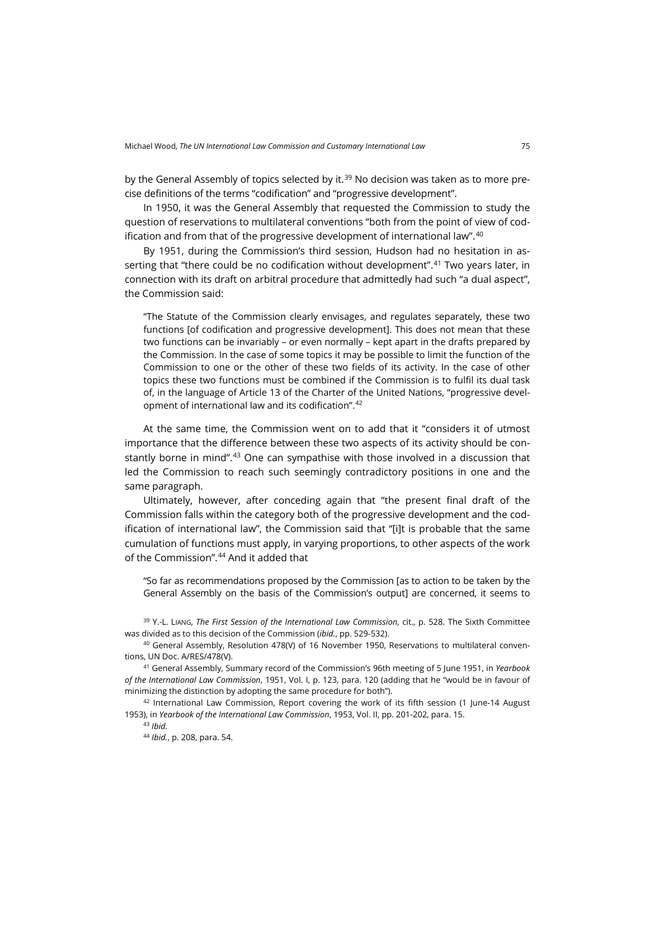by the General Assembly of topics selected by it.<sup>[39](#page-9-6)</sup> No decision was taken as to more precise definitions of the terms "codification" and "progressive development".

In 1950, it was the General Assembly that requested the Commission to study the question of reservations to multilateral conventions "both from the point of view of codification and from that of the progressive development of international law".[40](#page-10-0)

By 1951, during the Commission's third session, Hudson had no hesitation in asserting that "there could be no codification without development".[41](#page-10-1) Two years later, in connection with its draft on arbitral procedure that admittedly had such "a dual aspect", the Commission said:

"The Statute of the Commission clearly envisages, and regulates separately, these two functions [of codification and progressive development]. This does not mean that these two functions can be invariably – or even normally – kept apart in the drafts prepared by the Commission. In the case of some topics it may be possible to limit the function of the Commission to one or the other of these two fields of its activity. In the case of other topics these two functions must be combined if the Commission is to fulfil its dual task of, in the language of Article 13 of the Charter of the United Nations, "progressive development of international law and its codification". [42](#page-10-2)

At the same time, the Commission went on to add that it "considers it of utmost importance that the difference between these two aspects of its activity should be con-stantly borne in mind".<sup>[43](#page-10-3)</sup> One can sympathise with those involved in a discussion that led the Commission to reach such seemingly contradictory positions in one and the same paragraph.

Ultimately, however, after conceding again that "the present final draft of the Commission falls within the category both of the progressive development and the codification of international law", the Commission said that "[i]t is probable that the same cumulation of functions must apply, in varying proportions, to other aspects of the work of the Commission".[44](#page-10-4) And it added that

"So far as recommendations proposed by the Commission [as to action to be taken by the General Assembly on the basis of the Commission's output] are concerned, it seems to

<sup>39</sup> Y.-L. LIANG, *The First Session of the International Law Commission*, cit., p. 528. The Sixth Committee was divided as to this decision of the Commission (*ibid.*, pp. 529-532).

<span id="page-10-0"></span><sup>40</sup> General Assembly, Resolution 478(V) of 16 November 1950, Reservations to multilateral conventions, UN Doc. A/RES/478(V).

<span id="page-10-1"></span><sup>41</sup> General Assembly, Summary record of the Commission's 96th meeting of 5 June 1951, in *Yearbook of the International Law Commission*, 1951, Vol. I, p. 123, para. 120 (adding that he "would be in favour of minimizing the distinction by adopting the same procedure for both").

<span id="page-10-4"></span><span id="page-10-3"></span><span id="page-10-2"></span> $42$  International Law Commission, Report covering the work of its fifth session (1 June-14 August 1953), in *Yearbook of the International Law Commission*, 1953, Vol. II, pp. 201-202, para. 15.

<sup>43</sup> *Ibid.*

<sup>44</sup> *Ibid.*, p. 208, para. 54.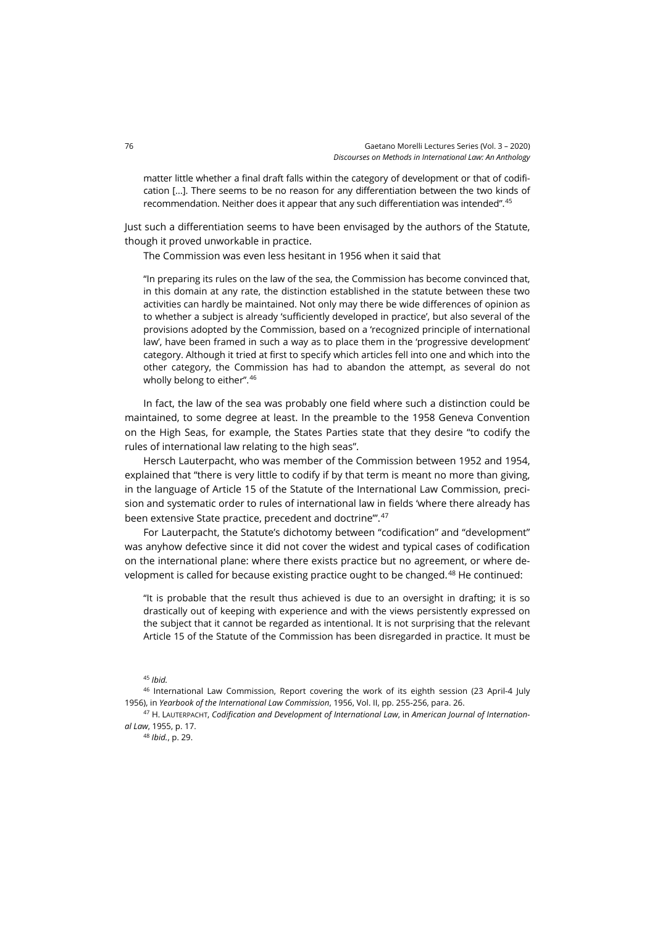matter little whether a final draft falls within the category of development or that of codification […]. There seems to be no reason for any differentiation between the two kinds of recommendation. Neither does it appear that any such differentiation was intended". [45](#page-11-0)

Just such a differentiation seems to have been envisaged by the authors of the Statute, though it proved unworkable in practice.

The Commission was even less hesitant in 1956 when it said that

"In preparing its rules on the law of the sea, the Commission has become convinced that, in this domain at any rate, the distinction established in the statute between these two activities can hardly be maintained. Not only may there be wide differences of opinion as to whether a subject is already 'sufficiently developed in practice', but also several of the provisions adopted by the Commission, based on a 'recognized principle of international law', have been framed in such a way as to place them in the 'progressive development' category. Although it tried at first to specify which articles fell into one and which into the other category, the Commission has had to abandon the attempt, as several do not wholly belong to either". [46](#page-11-1)

In fact, the law of the sea was probably one field where such a distinction could be maintained, to some degree at least. In the preamble to the 1958 Geneva Convention on the High Seas, for example, the States Parties state that they desire "to codify the rules of international law relating to the high seas".

Hersch Lauterpacht, who was member of the Commission between 1952 and 1954, explained that "there is very little to codify if by that term is meant no more than giving, in the language of Article 15 of the Statute of the International Law Commission, precision and systematic order to rules of international law in fields 'where there already has been extensive State practice, precedent and doctrine".<sup>[47](#page-11-2)</sup>

For Lauterpacht, the Statute's dichotomy between "codification" and "development" was anyhow defective since it did not cover the widest and typical cases of codification on the international plane: where there exists practice but no agreement, or where de-velopment is called for because existing practice ought to be changed.<sup>[48](#page-11-3)</sup> He continued:

"It is probable that the result thus achieved is due to an oversight in drafting; it is so drastically out of keeping with experience and with the views persistently expressed on the subject that it cannot be regarded as intentional. It is not surprising that the relevant Article 15 of the Statute of the Commission has been disregarded in practice. It must be

<sup>45</sup> *Ibid.*

<span id="page-11-1"></span><span id="page-11-0"></span><sup>46</sup> International Law Commission, Report covering the work of its eighth session (23 April-4 July 1956), in *Yearbook of the International Law Commission*, 1956, Vol. II, pp. 255-256, para. 26.

<span id="page-11-3"></span><span id="page-11-2"></span><sup>47</sup> H. LAUTERPACHT, *Codification and Development of International Law*, in *American Journal of International Law*, 1955, p. 17.

<sup>48</sup> *Ibid.*, p. 29.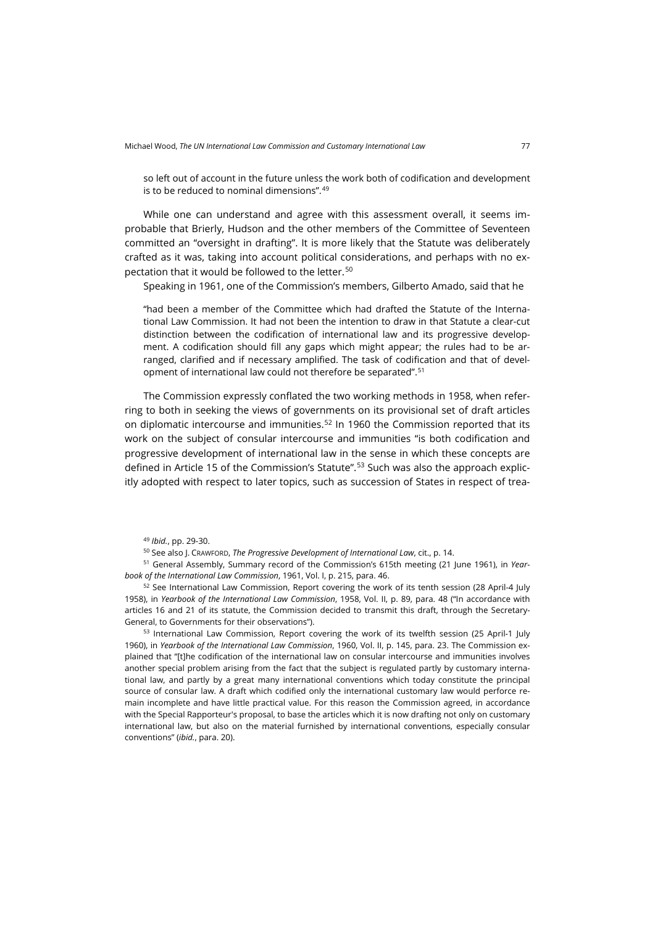so left out of account in the future unless the work both of codification and development is to be reduced to nominal dimensions". [49](#page-12-0)

While one can understand and agree with this assessment overall, it seems improbable that Brierly, Hudson and the other members of the Committee of Seventeen committed an "oversight in drafting". It is more likely that the Statute was deliberately crafted as it was, taking into account political considerations, and perhaps with no expectation that it would be followed to the letter.[50](#page-12-1)

Speaking in 1961, one of the Commission's members, Gilberto Amado, said that he

"had been a member of the Committee which had drafted the Statute of the International Law Commission. It had not been the intention to draw in that Statute a clear-cut distinction between the codification of international law and its progressive development. A codification should fill any gaps which might appear; the rules had to be arranged, clarified and if necessary amplified. The task of codification and that of development of international law could not therefore be separated". [51](#page-12-2)

The Commission expressly conflated the two working methods in 1958, when referring to both in seeking the views of governments on its provisional set of draft articles on diplomatic intercourse and immunities.<sup>[52](#page-12-3)</sup> In 1960 the Commission reported that its work on the subject of consular intercourse and immunities "is both codification and progressive development of international law in the sense in which these concepts are defined in Article 15 of the Commission's Statute".[53](#page-12-4) Such was also the approach explicitly adopted with respect to later topics, such as succession of States in respect of trea-

<sup>50</sup> See also J. CRAWFORD, *The Progressive Development of International Law*, cit., p. 14.

<span id="page-12-2"></span><span id="page-12-1"></span><span id="page-12-0"></span><sup>51</sup> General Assembly, Summary record of the Commission's 615th meeting (21 June 1961), in *Yearbook of the International Law Commission*, 1961, Vol. I, p. 215, para. 46.

<span id="page-12-3"></span><sup>52</sup> See International Law Commission, Report covering the work of its tenth session (28 April-4 July 1958), in *Yearbook of the International Law Commission*, 1958, Vol. II, p. 89, para. 48 ("In accordance with articles 16 and 21 of its statute, the Commission decided to transmit this draft, through the Secretary-General, to Governments for their observations").

<span id="page-12-4"></span>53 International Law Commission, Report covering the work of its twelfth session (25 April-1 July 1960), in *Yearbook of the International Law Commission*, 1960, Vol. II, p. 145, para. 23. The Commission explained that "[t]he codification of the international law on consular intercourse and immunities involves another special problem arising from the fact that the subject is regulated partly by customary international law, and partly by a great many international conventions which today constitute the principal source of consular law. A draft which codified only the international customary law would perforce remain incomplete and have little practical value. For this reason the Commission agreed, in accordance with the Special Rapporteur's proposal, to base the articles which it is now drafting not only on customary international law, but also on the material furnished by international conventions, especially consular conventions" (*ibid.*, para. 20).

<sup>49</sup> *Ibid.*, pp. 29-30.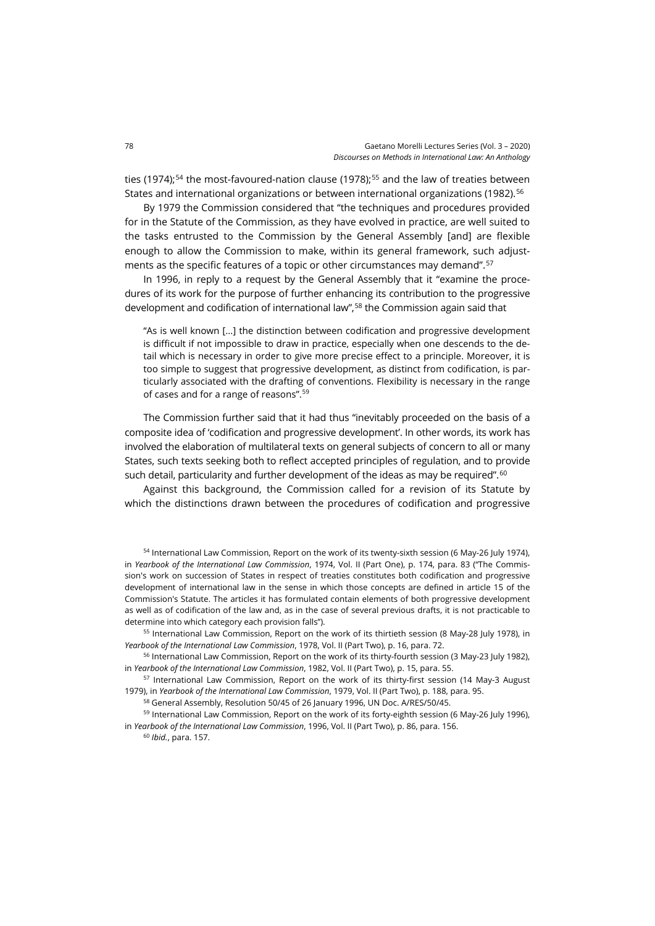ties (1974);<sup>[54](#page-13-0)</sup> the most-favoured-nation clause (1978);<sup>[55](#page-13-1)</sup> and the law of treaties between States and international organizations or between international organizations (1982).<sup>[56](#page-13-2)</sup>

By 1979 the Commission considered that "the techniques and procedures provided for in the Statute of the Commission, as they have evolved in practice, are well suited to the tasks entrusted to the Commission by the General Assembly [and] are flexible enough to allow the Commission to make, within its general framework, such adjustments as the specific features of a topic or other circumstances may demand". [57](#page-13-3)

In 1996, in reply to a request by the General Assembly that it "examine the procedures of its work for the purpose of further enhancing its contribution to the progressive development and codification of international law",[58](#page-13-4) the Commission again said that

"As is well known […] the distinction between codification and progressive development is difficult if not impossible to draw in practice, especially when one descends to the detail which is necessary in order to give more precise effect to a principle. Moreover, it is too simple to suggest that progressive development, as distinct from codification, is particularly associated with the drafting of conventions. Flexibility is necessary in the range of cases and for a range of reasons". [59](#page-13-5)

The Commission further said that it had thus "inevitably proceeded on the basis of a composite idea of 'codification and progressive development'. In other words, its work has involved the elaboration of multilateral texts on general subjects of concern to all or many States, such texts seeking both to reflect accepted principles of regulation, and to provide such detail, particularity and further development of the ideas as may be required". $^{\rm 60}$  $^{\rm 60}$  $^{\rm 60}$ 

Against this background, the Commission called for a revision of its Statute by which the distinctions drawn between the procedures of codification and progressive

<span id="page-13-0"></span>54 International Law Commission, Report on the work of its twenty-sixth session (6 May-26 July 1974), in *Yearbook of the International Law Commission*, 1974, Vol. II (Part One), p. 174, para. 83 ("The Commission's work on succession of States in respect of treaties constitutes both codification and progressive development of international law in the sense in which those concepts are defined in article 15 of the Commission's Statute. The articles it has formulated contain elements of both progressive development as well as of codification of the law and, as in the case of several previous drafts, it is not practicable to determine into which category each provision falls").

<span id="page-13-1"></span><sup>55</sup> International Law Commission, Report on the work of its thirtieth session (8 May-28 July 1978), in *Yearbook of the International Law Commission*, 1978, Vol. II (Part Two), p. 16, para. 72.

<span id="page-13-2"></span><sup>56</sup> International Law Commission, Report on the work of its thirty-fourth session (3 May-23 July 1982), in *Yearbook of the International Law Commission*, 1982, Vol. II (Part Two), p. 15, para. 55.

<span id="page-13-3"></span><sup>57</sup> International Law Commission, Report on the work of its thirty-first session (14 May-3 August 1979), in *Yearbook of the International Law Commission*, 1979, Vol. II (Part Two), p. 188, para. 95.

<sup>58</sup> General Assembly, Resolution 50/45 of 26 January 1996, UN Doc. A/RES/50/45.

<span id="page-13-6"></span><span id="page-13-5"></span><span id="page-13-4"></span><sup>59</sup> International Law Commission, Report on the work of its forty-eighth session (6 May-26 July 1996), in *Yearbook of the International Law Commission*, 1996, Vol. II (Part Two), p. 86, para. 156.

<sup>60</sup> *Ibid.*, para. 157.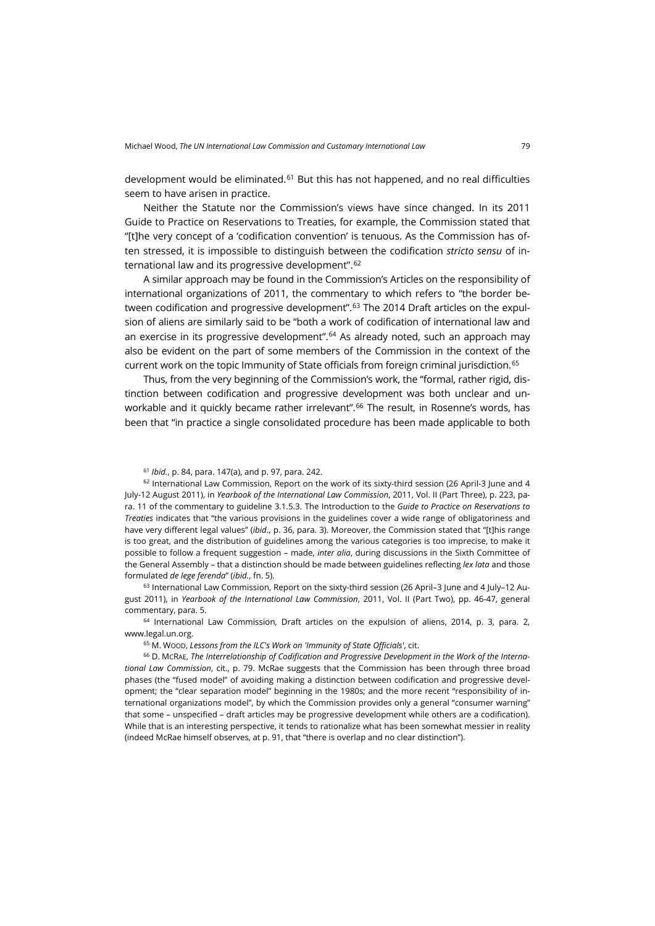development would be eliminated.<sup>[61](#page-14-0)</sup> But this has not happened, and no real difficulties seem to have arisen in practice.

Neither the Statute nor the Commission's views have since changed. In its 2011 Guide to Practice on Reservations to Treaties, for example, the Commission stated that "[t]he very concept of a 'codification convention' is tenuous. As the Commission has often stressed, it is impossible to distinguish between the codification *stricto sensu* of international law and its progressive development". [62](#page-14-1)

A similar approach may be found in the Commission's Articles on the responsibility of international organizations of 2011, the commentary to which refers to "the border between codification and progressive development".[63](#page-14-2) The 2014 Draft articles on the expulsion of aliens are similarly said to be "both a work of codification of international law and an exercise in its progressive development".<sup>[64](#page-14-3)</sup> As already noted, such an approach may also be evident on the part of some members of the Commission in the context of the current work on the topic Immunity of State officials from foreign criminal jurisdiction.<sup>[65](#page-14-4)</sup>

Thus, from the very beginning of the Commission's work, the "formal, rather rigid, distinction between codification and progressive development was both unclear and unworkable and it quickly became rather irrelevant".[66](#page-14-5) The result, in Rosenne's words, has been that "in practice a single consolidated procedure has been made applicable to both

<span id="page-14-1"></span><span id="page-14-0"></span><sup>62</sup> International Law Commission, Report on the work of its sixty-third session (26 April-3 June and 4 July-12 August 2011), in *Yearbook of the International Law Commission*, 2011, Vol. II (Part Three), p. 223, para. 11 of the commentary to guideline 3.1.5.3. The Introduction to the *Guide to Practice on Reservations to Treaties* indicates that "the various provisions in the guidelines cover a wide range of obligatoriness and have very different legal values" (*ibid*., p. 36, para. 3). Moreover, the Commission stated that "[t]his range is too great, and the distribution of guidelines among the various categories is too imprecise, to make it possible to follow a frequent suggestion – made, *inter alia*, during discussions in the Sixth Committee of the General Assembly – that a distinction should be made between guidelines reflecting *lex lata* and those formulated *de lege ferenda*" (*ibid.*, fn. 5).

<span id="page-14-2"></span> $63$  International Law Commission, Report on the sixty-third session (26 April–3 June and 4 July–12 August 2011), in *Yearbook of the International Law Commission*, 2011, Vol. II (Part Two), pp. 46-47, general commentary, para. 5.

<span id="page-14-3"></span><sup>64</sup> International Law Commission, Draft articles on the expulsion of aliens, 2014, p. 3, para. 2, [www.legal.un.org.](http://legal.un.org/ilc/texts/instruments/english/commentaries/9_12_2014.pdf)

<sup>65</sup> M. WOOD, *Lessons from the ILC's Work on 'Immunity of State Officials'*, cit.

<span id="page-14-5"></span><span id="page-14-4"></span><sup>66</sup> D. MCRAE, *The Interrelationship of Codification and Progressive Development in the Work of the International Law Commission*, cit., p. 79. McRae suggests that the Commission has been through three broad phases (the "fused model" of avoiding making a distinction between codification and progressive development; the "clear separation model" beginning in the 1980s; and the more recent "responsibility of international organizations model", by which the Commission provides only a general "consumer warning" that some – unspecified – draft articles may be progressive development while others are a codification). While that is an interesting perspective, it tends to rationalize what has been somewhat messier in reality (indeed McRae himself observes, at p. 91, that "there is overlap and no clear distinction").

<sup>61</sup> *Ibid.*, p. 84, para. 147(a), and p. 97, para. 242.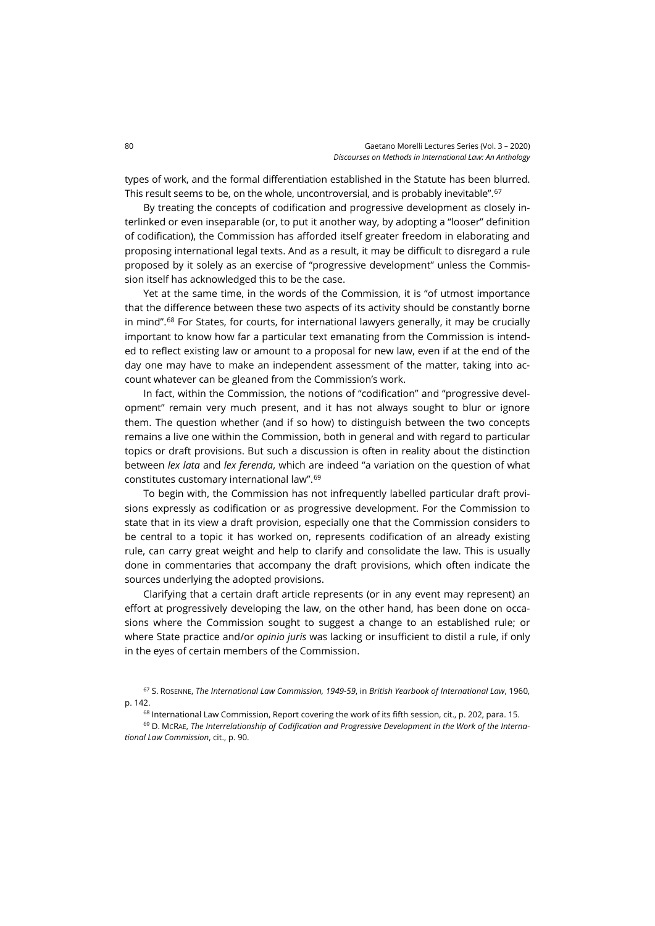types of work, and the formal differentiation established in the Statute has been blurred. This result seems to be, on the whole, uncontroversial, and is probably inevitable". [67](#page-15-0)

By treating the concepts of codification and progressive development as closely interlinked or even inseparable (or, to put it another way, by adopting a "looser" definition of codification), the Commission has afforded itself greater freedom in elaborating and proposing international legal texts. And as a result, it may be difficult to disregard a rule proposed by it solely as an exercise of "progressive development" unless the Commission itself has acknowledged this to be the case.

Yet at the same time, in the words of the Commission, it is "of utmost importance that the difference between these two aspects of its activity should be constantly borne in mind".<sup>[68](#page-15-1)</sup> For States, for courts, for international lawyers generally, it may be crucially important to know how far a particular text emanating from the Commission is intended to reflect existing law or amount to a proposal for new law, even if at the end of the day one may have to make an independent assessment of the matter, taking into account whatever can be gleaned from the Commission's work.

In fact, within the Commission, the notions of "codification" and "progressive development" remain very much present, and it has not always sought to blur or ignore them. The question whether (and if so how) to distinguish between the two concepts remains a live one within the Commission, both in general and with regard to particular topics or draft provisions. But such a discussion is often in reality about the distinction between *lex lata* and *lex ferenda*, which are indeed "a variation on the question of what constitutes customary international law".[69](#page-15-2)

To begin with, the Commission has not infrequently labelled particular draft provisions expressly as codification or as progressive development. For the Commission to state that in its view a draft provision, especially one that the Commission considers to be central to a topic it has worked on, represents codification of an already existing rule, can carry great weight and help to clarify and consolidate the law. This is usually done in commentaries that accompany the draft provisions, which often indicate the sources underlying the adopted provisions.

Clarifying that a certain draft article represents (or in any event may represent) an effort at progressively developing the law, on the other hand, has been done on occasions where the Commission sought to suggest a change to an established rule; or where State practice and/or *opinio juris* was lacking or insufficient to distil a rule, if only in the eyes of certain members of the Commission.

<sup>68</sup> International Law Commission, Report covering the work of its fifth session, cit., p. 202, para. 15.

<span id="page-15-2"></span><span id="page-15-1"></span><sup>69</sup> D. MCRAE, *The Interrelationship of Codification and Progressive Development in the Work of the International Law Commission*, cit., p. 90.

<span id="page-15-0"></span><sup>67</sup> S. ROSENNE, *The International Law Commission, 1949-59*, in *British Yearbook of International Law*, 1960, p. 142.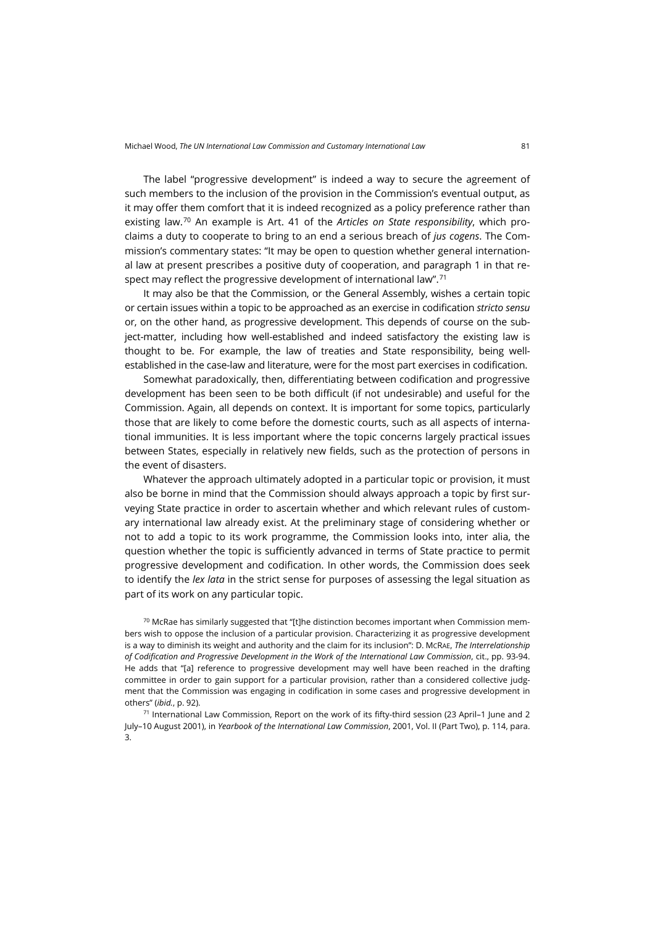The label "progressive development" is indeed a way to secure the agreement of such members to the inclusion of the provision in the Commission's eventual output, as it may offer them comfort that it is indeed recognized as a policy preference rather than existing law.[70](#page-16-0) An example is Art. 41 of the *Articles on State responsibility*, which proclaims a duty to cooperate to bring to an end a serious breach of *jus cogens*. The Commission's commentary states: "It may be open to question whether general international law at present prescribes a positive duty of cooperation, and paragraph 1 in that respect may reflect the progressive development of international law". $^{\rm 71}$  $^{\rm 71}$  $^{\rm 71}$ 

It may also be that the Commission, or the General Assembly, wishes a certain topic or certain issues within a topic to be approached as an exercise in codification *stricto sensu* or, on the other hand, as progressive development. This depends of course on the subject-matter, including how well-established and indeed satisfactory the existing law is thought to be. For example, the law of treaties and State responsibility, being wellestablished in the case-law and literature, were for the most part exercises in codification.

Somewhat paradoxically, then, differentiating between codification and progressive development has been seen to be both difficult (if not undesirable) and useful for the Commission. Again, all depends on context. It is important for some topics, particularly those that are likely to come before the domestic courts, such as all aspects of international immunities. It is less important where the topic concerns largely practical issues between States, especially in relatively new fields, such as the protection of persons in the event of disasters.

Whatever the approach ultimately adopted in a particular topic or provision, it must also be borne in mind that the Commission should always approach a topic by first surveying State practice in order to ascertain whether and which relevant rules of customary international law already exist. At the preliminary stage of considering whether or not to add a topic to its work programme, the Commission looks into, inter alia, the question whether the topic is sufficiently advanced in terms of State practice to permit progressive development and codification. In other words, the Commission does seek to identify the *lex lata* in the strict sense for purposes of assessing the legal situation as part of its work on any particular topic.

<span id="page-16-0"></span> $70$  McRae has similarly suggested that "[t]he distinction becomes important when Commission members wish to oppose the inclusion of a particular provision. Characterizing it as progressive development is a way to diminish its weight and authority and the claim for its inclusion": D. MCRAE, *The Interrelationship of Codification and Progressive Development in the Work of the International Law Commission*, cit., pp. 93-94. He adds that "[a] reference to progressive development may well have been reached in the drafting committee in order to gain support for a particular provision, rather than a considered collective judgment that the Commission was engaging in codification in some cases and progressive development in others" (*ibid.*, p. 92).

<span id="page-16-1"></span><sup>71</sup> International Law Commission, Report on the work of its fifty-third session (23 April–1 June and 2 July–10 August 2001), in *Yearbook of the International Law Commission*, 2001, Vol. II (Part Two), p. 114, para. 3.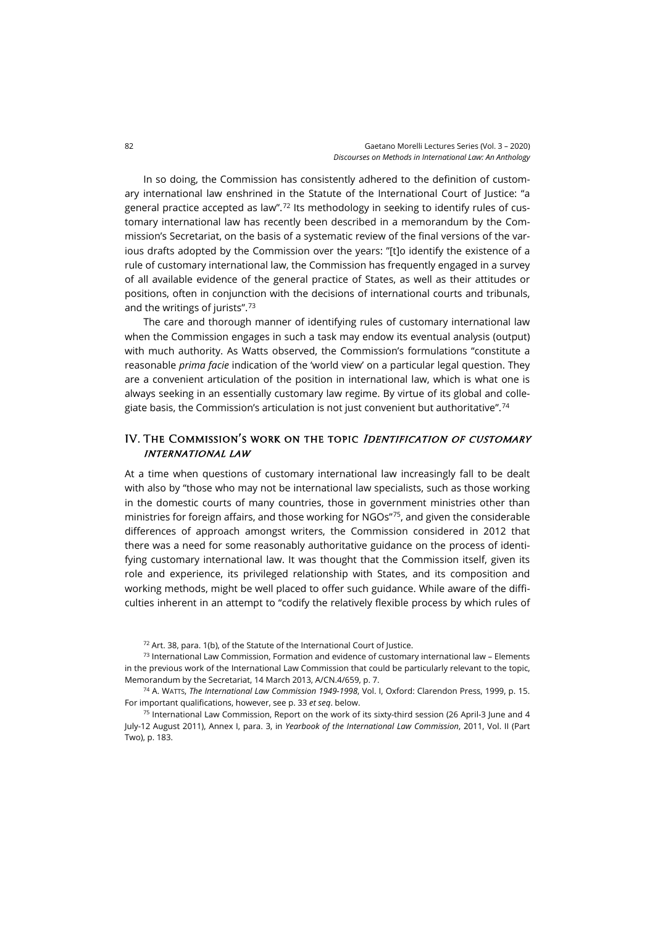In so doing, the Commission has consistently adhered to the definition of customary international law enshrined in the Statute of the International Court of Justice: "a general practice accepted as law".[72](#page-17-0) Its methodology in seeking to identify rules of customary international law has recently been described in a memorandum by the Commission's Secretariat, on the basis of a systematic review of the final versions of the various drafts adopted by the Commission over the years: "[t]o identify the existence of a rule of customary international law, the Commission has frequently engaged in a survey of all available evidence of the general practice of States, as well as their attitudes or positions, often in conjunction with the decisions of international courts and tribunals, and the writings of jurists". [73](#page-17-1)

The care and thorough manner of identifying rules of customary international law when the Commission engages in such a task may endow its eventual analysis (output) with much authority. As Watts observed, the Commission's formulations "constitute a reasonable *prima facie* indication of the 'world view' on a particular legal question. They are a convenient articulation of the position in international law, which is what one is always seeking in an essentially customary law regime. By virtue of its global and collegiate basis, the Commission's articulation is not just convenient but authoritative".  $^{\rm 74}$  $^{\rm 74}$  $^{\rm 74}$ 

#### IV. THE COMMISSION'S WORK ON THE TOPIC IDENTIFICATION OF CUSTOMARY international law

At a time when questions of customary international law increasingly fall to be dealt with also by "those who may not be international law specialists, such as those working in the domestic courts of many countries, those in government ministries other than ministries for foreign affairs, and those working for NGOs"[75,](#page-17-3) and given the considerable differences of approach amongst writers, the Commission considered in 2012 that there was a need for some reasonably authoritative guidance on the process of identifying customary international law. It was thought that the Commission itself, given its role and experience, its privileged relationship with States, and its composition and working methods, might be well placed to offer such guidance. While aware of the difficulties inherent in an attempt to "codify the relatively flexible process by which rules of

 $72$  Art. 38, para. 1(b), of the Statute of the International Court of Justice.

<span id="page-17-1"></span><span id="page-17-0"></span> $73$  International Law Commission, Formation and evidence of customary international law – Elements in the previous work of the International Law Commission that could be particularly relevant to the topic, Memorandum by the Secretariat, 14 March 2013, A/CN.4/659, p. 7.

<span id="page-17-2"></span><sup>74</sup> A. WATTS, *The International Law Commission 1949-1998*, Vol. I, Oxford: Clarendon Press, 1999, p. 15. For important qualifications, however, see p. 33 *et seq*. below.

<span id="page-17-3"></span><sup>75</sup> International Law Commission, Report on the work of its sixty-third session (26 April-3 June and 4 July-12 August 2011), Annex I, para. 3, in *Yearbook of the International Law Commission*, 2011, Vol. II (Part Two), p. 183.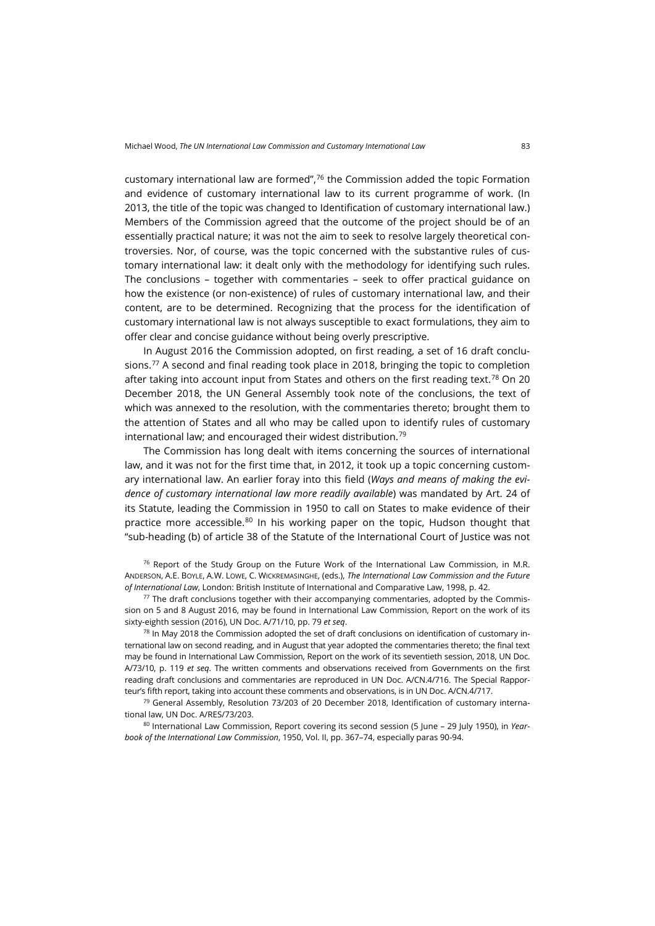customary international law are formed", $76$  the Commission added the topic Formation and evidence of customary international law to its current programme of work. (In 2013, the title of the topic was changed to Identification of customary international law.) Members of the Commission agreed that the outcome of the project should be of an essentially practical nature; it was not the aim to seek to resolve largely theoretical controversies. Nor, of course, was the topic concerned with the substantive rules of customary international law: it dealt only with the methodology for identifying such rules. The conclusions – together with commentaries – seek to offer practical guidance on how the existence (or non-existence) of rules of customary international law, and their content, are to be determined. Recognizing that the process for the identification of customary international law is not always susceptible to exact formulations, they aim to offer clear and concise guidance without being overly prescriptive.

In August 2016 the Commission adopted, on first reading, a set of 16 draft conclusions.<sup>77</sup> A second and final reading took place in 2018, bringing the topic to completion after taking into account input from States and others on the first reading text.<sup>[78](#page-18-2)</sup> On 20 December 2018, the UN General Assembly took note of the conclusions, the text of which was annexed to the resolution, with the commentaries thereto; brought them to the attention of States and all who may be called upon to identify rules of customary international law; and encouraged their widest distribution.[79](#page-18-3)

The Commission has long dealt with items concerning the sources of international law, and it was not for the first time that, in 2012, it took up a topic concerning customary international law. An earlier foray into this field (*Ways and means of making the evidence of customary international law more readily available*) was mandated by Art. 24 of its Statute, leading the Commission in 1950 to call on States to make evidence of their practice more accessible.<sup>[80](#page-18-4)</sup> In his working paper on the topic, Hudson thought that "sub-heading (b) of article 38 of the Statute of the International Court of Justice was not

<span id="page-18-0"></span> $76$  Report of the Study Group on the Future Work of the International Law Commission, in M.R. ANDERSON, A.E. BOYLE, A.W. LOWE, C. WICKREMASINGHE, (eds.), *The International Law Commission and the Future of International Law*, London: British Institute of International and Comparative Law, 1998, p. 42.

<span id="page-18-1"></span> $77$  The draft conclusions together with their accompanying commentaries, adopted by the Commission on 5 and 8 August 2016, may be found in International Law Commission, Report on the work of its sixty-eighth session (2016), UN Doc. A/71/10, pp. 79 *et seq*.

<span id="page-18-2"></span> $78$  In May 2018 the Commission adopted the set of draft conclusions on identification of customary international law on second reading, and in August that year adopted the commentaries thereto; the final text may be found in International Law Commission, Report on the work of its seventieth session, 2018, UN Doc. A/73/10, p. 119 *et seq*. The written comments and observations received from Governments on the first reading draft conclusions and commentaries are reproduced in UN Doc. A/CN.4/716. The Special Rapporteur's fifth report, taking into account these comments and observations, is in UN Doc. A/CN.4/717.

<span id="page-18-3"></span><sup>79</sup> General Assembly, Resolution 73/203 of 20 December 2018, Identification of customary international law, UN Doc. A/RES/73/203.

<span id="page-18-4"></span><sup>80</sup> International Law Commission, Report covering its second session (5 June – 29 July 1950), in *Yearbook of the International Law Commission*, 1950, Vol. II, pp. 367–74, especially paras 90-94.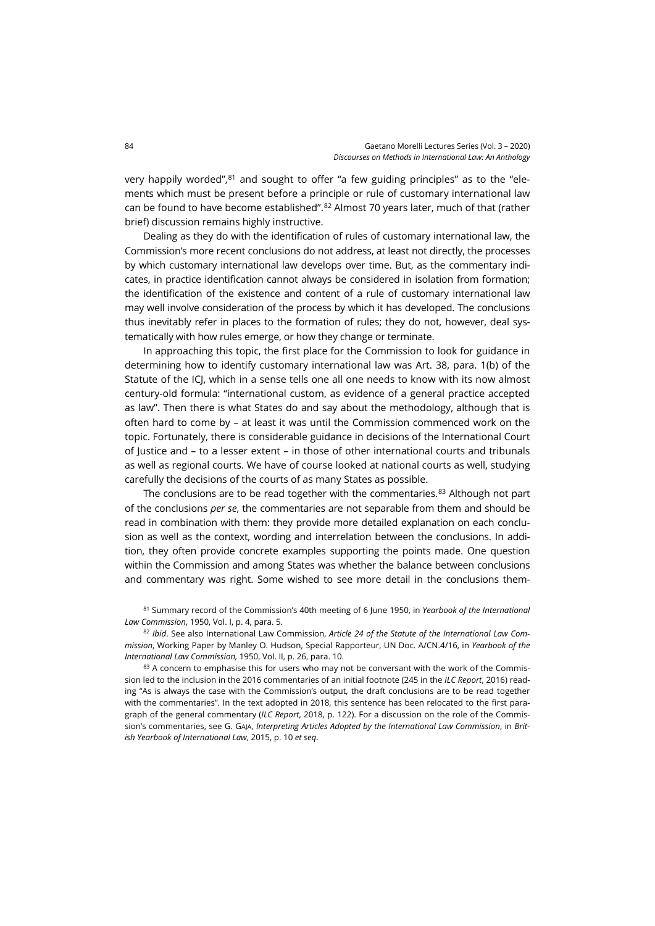very happily worded", $81$  and sought to offer "a few guiding principles" as to the "elements which must be present before a principle or rule of customary international law can be found to have become established". $82$  Almost 70 years later, much of that (rather brief) discussion remains highly instructive.

Dealing as they do with the identification of rules of customary international law, the Commission's more recent conclusions do not address, at least not directly, the processes by which customary international law develops over time. But, as the commentary indicates, in practice identification cannot always be considered in isolation from formation; the identification of the existence and content of a rule of customary international law may well involve consideration of the process by which it has developed. The conclusions thus inevitably refer in places to the formation of rules; they do not, however, deal systematically with how rules emerge, or how they change or terminate.

In approaching this topic, the first place for the Commission to look for guidance in determining how to identify customary international law was Art. 38, para. 1(b) of the Statute of the ICJ, which in a sense tells one all one needs to know with its now almost century-old formula: "international custom, as evidence of a general practice accepted as law". Then there is what States do and say about the methodology, although that is often hard to come by – at least it was until the Commission commenced work on the topic. Fortunately, there is considerable guidance in decisions of the International Court of Justice and – to a lesser extent – in those of other international courts and tribunals as well as regional courts. We have of course looked at national courts as well, studying carefully the decisions of the courts of as many States as possible.

The conclusions are to be read together with the commentaries. $83$  Although not part of the conclusions *per se*, the commentaries are not separable from them and should be read in combination with them: they provide more detailed explanation on each conclusion as well as the context, wording and interrelation between the conclusions. In addition, they often provide concrete examples supporting the points made. One question within the Commission and among States was whether the balance between conclusions and commentary was right. Some wished to see more detail in the conclusions them-

<span id="page-19-0"></span><sup>81</sup> Summary record of the Commission's 40th meeting of 6 June 1950, in *Yearbook of the International Law Commission*, 1950, Vol. I, p. 4, para. 5.

<span id="page-19-1"></span><sup>82</sup> *Ibid*. See also International Law Commission, *Article 24 of the Statute of the International Law Commission*, Working Paper by Manley O. Hudson, Special Rapporteur, UN Doc. A/CN.4/16, in *Yearbook of the International Law Commission,* 1950, Vol. II, p. 26, para. 10.

<span id="page-19-2"></span> $83$  A concern to emphasise this for users who may not be conversant with the work of the Commission led to the inclusion in the 2016 commentaries of an initial footnote (245 in the *ILC Report*, 2016) reading "As is always the case with the Commission's output, the draft conclusions are to be read together with the commentaries". In the text adopted in 2018, this sentence has been relocated to the first paragraph of the general commentary (*ILC Report*, 2018, p. 122). For a discussion on the role of the Commission's commentaries, see G. GAJA, *Interpreting Articles Adopted by the International Law Commission*, in *British Yearbook of International Law*, 2015, p. 10 *et seq*.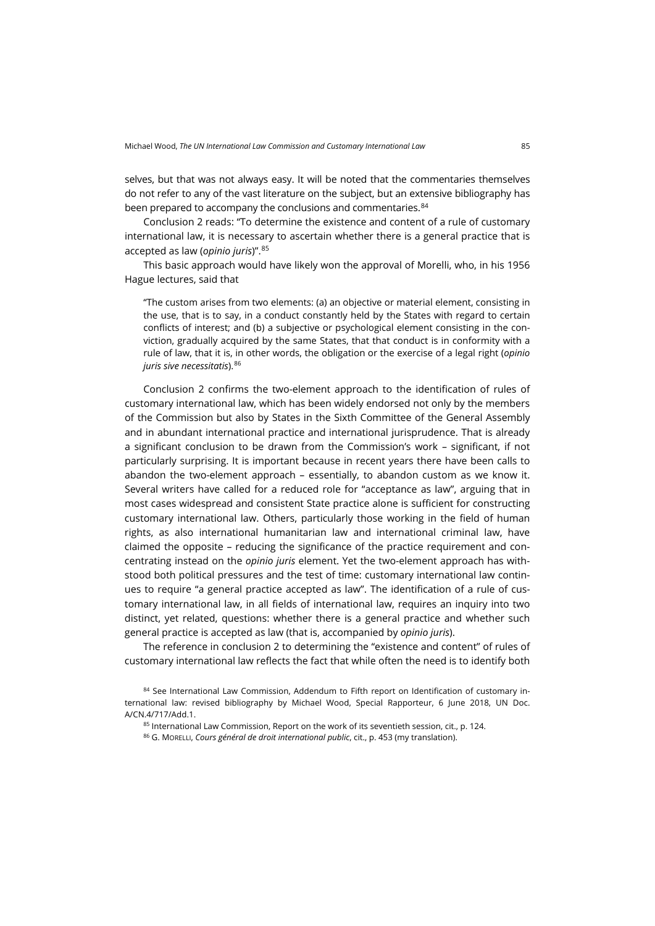selves, but that was not always easy. It will be noted that the commentaries themselves do not refer to any of the vast literature on the subject, but an extensive bibliography has been prepared to accompany the conclusions and commentaries.<sup>[84](#page-20-0)</sup>

Conclusion 2 reads: "To determine the existence and content of a rule of customary international law, it is necessary to ascertain whether there is a general practice that is accepted as law (*opinio juris*)". [85](#page-20-1)

This basic approach would have likely won the approval of Morelli, who, in his 1956 Hague lectures, said that

"The custom arises from two elements: (a) an objective or material element, consisting in the use, that is to say, in a conduct constantly held by the States with regard to certain conflicts of interest; and (b) a subjective or psychological element consisting in the conviction, gradually acquired by the same States, that that conduct is in conformity with a rule of law, that it is, in other words, the obligation or the exercise of a legal right (*opinio juris sive necessitatis*).[86](#page-20-2)

Conclusion 2 confirms the two-element approach to the identification of rules of customary international law, which has been widely endorsed not only by the members of the Commission but also by States in the Sixth Committee of the General Assembly and in abundant international practice and international jurisprudence. That is already a significant conclusion to be drawn from the Commission's work – significant, if not particularly surprising. It is important because in recent years there have been calls to abandon the two-element approach – essentially, to abandon custom as we know it. Several writers have called for a reduced role for "acceptance as law", arguing that in most cases widespread and consistent State practice alone is sufficient for constructing customary international law. Others, particularly those working in the field of human rights, as also international humanitarian law and international criminal law, have claimed the opposite – reducing the significance of the practice requirement and concentrating instead on the *opinio juris* element. Yet the two-element approach has withstood both political pressures and the test of time: customary international law continues to require "a general practice accepted as law". The identification of a rule of customary international law, in all fields of international law, requires an inquiry into two distinct, yet related, questions: whether there is a general practice and whether such general practice is accepted as law (that is, accompanied by *opinio juris*).

The reference in conclusion 2 to determining the "existence and content" of rules of customary international law reflects the fact that while often the need is to identify both

85 International Law Commission, Report on the work of its seventieth session, cit., p. 124.

<sup>86</sup> G. MORELLI, *Cours général de droit international public*, cit., p. 453 (my translation).

<span id="page-20-2"></span><span id="page-20-1"></span><span id="page-20-0"></span><sup>84</sup> See International Law Commission, Addendum to Fifth report on Identification of customary international law: revised bibliography by Michael Wood, Special Rapporteur, 6 June 2018, UN Doc. A/CN.4/717/Add.1.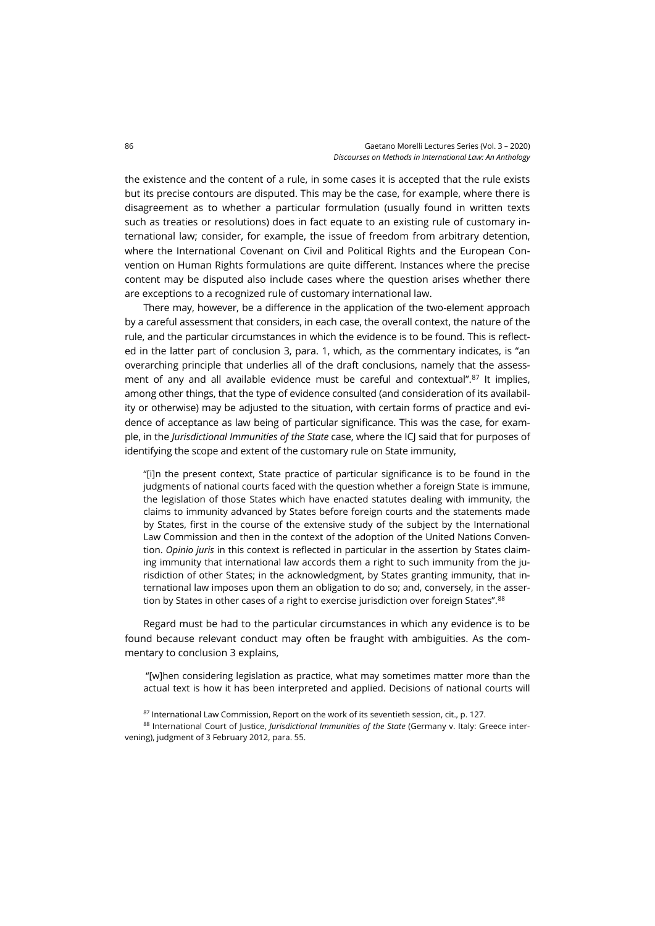the existence and the content of a rule, in some cases it is accepted that the rule exists but its precise contours are disputed. This may be the case, for example, where there is disagreement as to whether a particular formulation (usually found in written texts such as treaties or resolutions) does in fact equate to an existing rule of customary international law; consider, for example, the issue of freedom from arbitrary detention, where the International Covenant on Civil and Political Rights and the European Convention on Human Rights formulations are quite different. Instances where the precise content may be disputed also include cases where the question arises whether there are exceptions to a recognized rule of customary international law.

There may, however, be a difference in the application of the two-element approach by a careful assessment that considers, in each case, the overall context, the nature of the rule, and the particular circumstances in which the evidence is to be found. This is reflected in the latter part of conclusion 3, para. 1, which, as the commentary indicates, is "an overarching principle that underlies all of the draft conclusions, namely that the assessment of any and all available evidence must be careful and contextual".<sup>87</sup> It implies, among other things, that the type of evidence consulted (and consideration of its availability or otherwise) may be adjusted to the situation, with certain forms of practice and evidence of acceptance as law being of particular significance. This was the case, for example, in the *Jurisdictional Immunities of the State* case, where the ICJ said that for purposes of identifying the scope and extent of the customary rule on State immunity,

"[i]n the present context, State practice of particular significance is to be found in the judgments of national courts faced with the question whether a foreign State is immune, the legislation of those States which have enacted statutes dealing with immunity, the claims to immunity advanced by States before foreign courts and the statements made by States, first in the course of the extensive study of the subject by the International Law Commission and then in the context of the adoption of the United Nations Convention. *Opinio juris* in this context is reflected in particular in the assertion by States claiming immunity that international law accords them a right to such immunity from the jurisdiction of other States; in the acknowledgment, by States granting immunity, that international law imposes upon them an obligation to do so; and, conversely, in the assertion by States in other cases of a right to exercise jurisdiction over foreign States". [88](#page-21-1)

Regard must be had to the particular circumstances in which any evidence is to be found because relevant conduct may often be fraught with ambiguities. As the commentary to conclusion 3 explains,

"[w]hen considering legislation as practice, what may sometimes matter more than the actual text is how it has been interpreted and applied. Decisions of national courts will

87 International Law Commission, Report on the work of its seventieth session, cit., p. 127.

<span id="page-21-1"></span><span id="page-21-0"></span><sup>88</sup> International Court of Justice, *Jurisdictional Immunities of the State* (Germany v. Italy: Greece intervening), judgment of 3 February 2012, para. 55.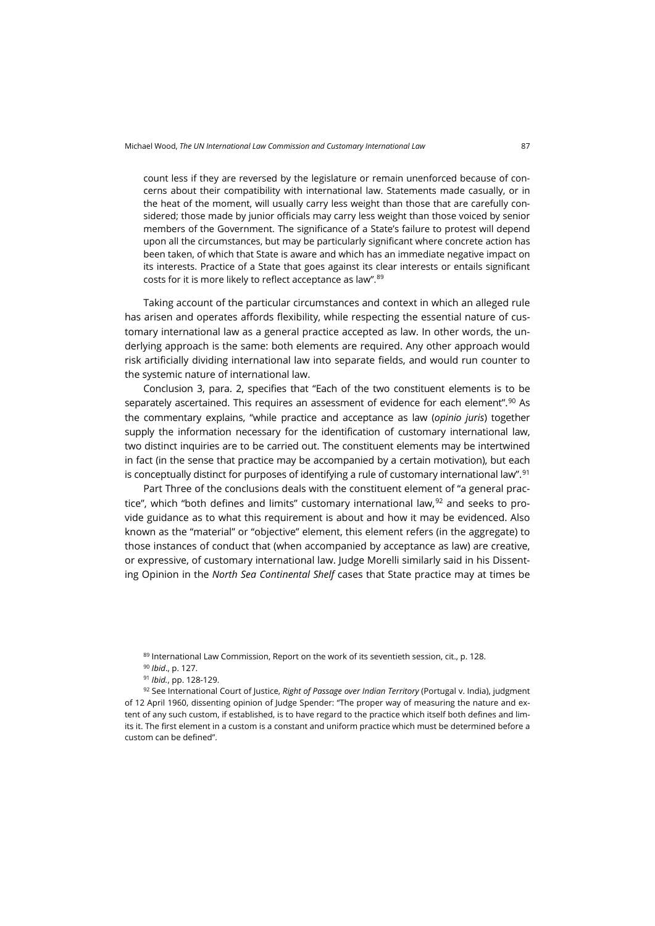count less if they are reversed by the legislature or remain unenforced because of concerns about their compatibility with international law. Statements made casually, or in the heat of the moment, will usually carry less weight than those that are carefully considered; those made by junior officials may carry less weight than those voiced by senior members of the Government. The significance of a State's failure to protest will depend upon all the circumstances, but may be particularly significant where concrete action has been taken, of which that State is aware and which has an immediate negative impact on its interests. Practice of a State that goes against its clear interests or entails significant costs for it is more likely to reflect acceptance as law". [89](#page-22-0)

Taking account of the particular circumstances and context in which an alleged rule has arisen and operates affords flexibility, while respecting the essential nature of customary international law as a general practice accepted as law. In other words, the underlying approach is the same: both elements are required. Any other approach would risk artificially dividing international law into separate fields, and would run counter to the systemic nature of international law.

Conclusion 3, para. 2, specifies that "Each of the two constituent elements is to be separately ascertained. This requires an assessment of evidence for each element".<sup>90</sup> As the commentary explains, "while practice and acceptance as law (*opinio juris*) together supply the information necessary for the identification of customary international law, two distinct inquiries are to be carried out. The constituent elements may be intertwined in fact (in the sense that practice may be accompanied by a certain motivation), but each is conceptually distinct for purposes of identifying a rule of customary international law". [91](#page-22-2)

Part Three of the conclusions deals with the constituent element of "a general practice", which "both defines and limits" customary international law, $92$  and seeks to provide guidance as to what this requirement is about and how it may be evidenced. Also known as the "material" or "objective" element, this element refers (in the aggregate) to those instances of conduct that (when accompanied by acceptance as law) are creative, or expressive, of customary international law. Judge Morelli similarly said in his Dissenting Opinion in the *North Sea Continental Shelf* cases that State practice may at times be

<span id="page-22-3"></span><span id="page-22-2"></span><span id="page-22-1"></span><span id="page-22-0"></span><sup>92</sup> See International Court of Justice, *Right of Passage over Indian Territory* (Portugal v. India), judgment of 12 April 1960, dissenting opinion of Judge Spender: "The proper way of measuring the nature and extent of any such custom, if established, is to have regard to the practice which itself both defines and limits it. The first element in a custom is a constant and uniform practice which must be determined before a custom can be defined".

<sup>89</sup> International Law Commission, Report on the work of its seventieth session, cit., p. 128.

<sup>90</sup> *Ibid*., p. 127.

<sup>91</sup> *Ibid.*, pp. 128-129.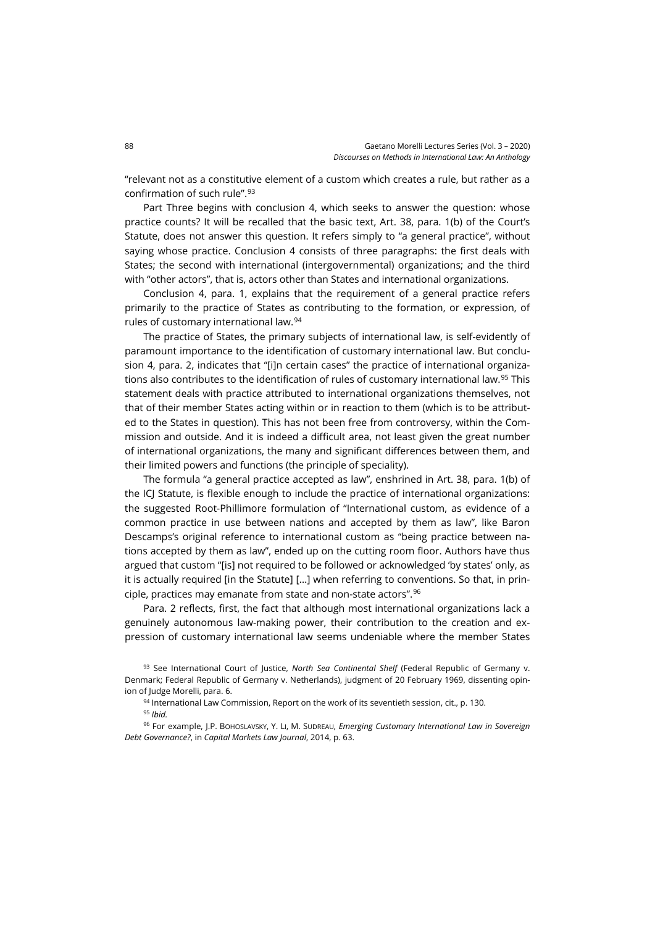"relevant not as a constitutive element of a custom which creates a rule, but rather as a confirmation of such rule".[93](#page-23-0)

Part Three begins with conclusion 4, which seeks to answer the question: whose practice counts? It will be recalled that the basic text, Art. 38, para. 1(b) of the Court's Statute, does not answer this question. It refers simply to "a general practice", without saying whose practice. Conclusion 4 consists of three paragraphs: the first deals with States; the second with international (intergovernmental) organizations; and the third with "other actors", that is, actors other than States and international organizations.

Conclusion 4, para. 1, explains that the requirement of a general practice refers primarily to the practice of States as contributing to the formation, or expression, of rules of customary international law.[94](#page-23-1)

The practice of States, the primary subjects of international law, is self-evidently of paramount importance to the identification of customary international law. But conclusion 4, para. 2, indicates that "[i]n certain cases" the practice of international organiza-tions also contributes to the identification of rules of customary international law.<sup>[95](#page-23-2)</sup> This statement deals with practice attributed to international organizations themselves, not that of their member States acting within or in reaction to them (which is to be attributed to the States in question). This has not been free from controversy, within the Commission and outside. And it is indeed a difficult area, not least given the great number of international organizations, the many and significant differences between them, and their limited powers and functions (the principle of speciality).

The formula "a general practice accepted as law", enshrined in Art. 38, para. 1(b) of the ICJ Statute, is flexible enough to include the practice of international organizations: the suggested Root-Phillimore formulation of "International custom, as evidence of a common practice in use between nations and accepted by them as law", like Baron Descamps's original reference to international custom as "being practice between nations accepted by them as law", ended up on the cutting room floor. Authors have thus argued that custom "[is] not required to be followed or acknowledged 'by states' only, as it is actually required [in the Statute] […] when referring to conventions. So that, in principle, practices may emanate from state and non-state actors".[96](#page-23-3)

Para. 2 reflects, first, the fact that although most international organizations lack a genuinely autonomous law-making power, their contribution to the creation and expression of customary international law seems undeniable where the member States

<span id="page-23-0"></span><sup>93</sup> See International Court of Justice, *North Sea Continental Shelf* (Federal Republic of Germany v. Denmark; Federal Republic of Germany v. Netherlands), judgment of 20 February 1969, dissenting opinion of Judge Morelli, para. 6.

94 International Law Commission, Report on the work of its seventieth session, cit., p. 130.

<sup>95</sup> *Ibid.*

<span id="page-23-3"></span><span id="page-23-2"></span><span id="page-23-1"></span><sup>96</sup> For example, J.P. BOHOSLAVSKY, Y. LI, M. SUDREAU, *Emerging Customary International Law in Sovereign Debt Governance?*, in *Capital Markets Law Journal*, 2014, p. 63.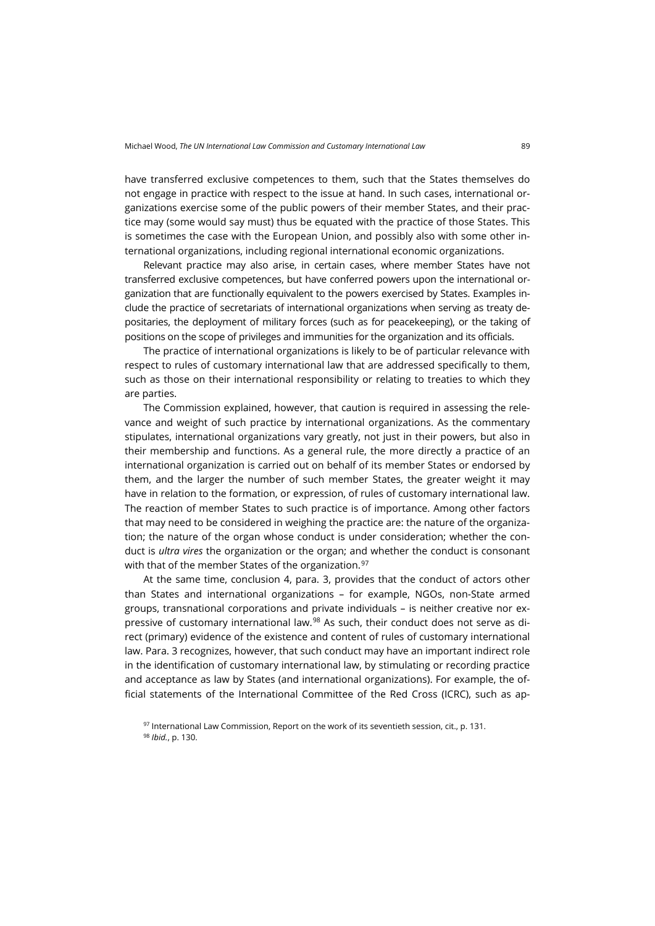have transferred exclusive competences to them, such that the States themselves do not engage in practice with respect to the issue at hand. In such cases, international organizations exercise some of the public powers of their member States, and their practice may (some would say must) thus be equated with the practice of those States. This is sometimes the case with the European Union, and possibly also with some other international organizations, including regional international economic organizations.

Relevant practice may also arise, in certain cases, where member States have not transferred exclusive competences, but have conferred powers upon the international organization that are functionally equivalent to the powers exercised by States. Examples include the practice of secretariats of international organizations when serving as treaty depositaries, the deployment of military forces (such as for peacekeeping), or the taking of positions on the scope of privileges and immunities for the organization and its officials.

The practice of international organizations is likely to be of particular relevance with respect to rules of customary international law that are addressed specifically to them, such as those on their international responsibility or relating to treaties to which they are parties.

The Commission explained, however, that caution is required in assessing the relevance and weight of such practice by international organizations. As the commentary stipulates, international organizations vary greatly, not just in their powers, but also in their membership and functions. As a general rule, the more directly a practice of an international organization is carried out on behalf of its member States or endorsed by them, and the larger the number of such member States, the greater weight it may have in relation to the formation, or expression, of rules of customary international law. The reaction of member States to such practice is of importance. Among other factors that may need to be considered in weighing the practice are: the nature of the organization; the nature of the organ whose conduct is under consideration; whether the conduct is *ultra vires* the organization or the organ; and whether the conduct is consonant with that of the member States of the organization.<sup>[97](#page-24-0)</sup>

At the same time, conclusion 4, para. 3, provides that the conduct of actors other than States and international organizations – for example, NGOs, non-State armed groups, transnational corporations and private individuals – is neither creative nor ex-pressive of customary international law.<sup>[98](#page-24-1)</sup> As such, their conduct does not serve as direct (primary) evidence of the existence and content of rules of customary international law. Para. 3 recognizes, however, that such conduct may have an important indirect role in the identification of customary international law, by stimulating or recording practice and acceptance as law by States (and international organizations). For example, the official statements of the International Committee of the Red Cross (ICRC), such as ap-

<span id="page-24-1"></span><span id="page-24-0"></span> $97$  International Law Commission, Report on the work of its seventieth session, cit., p. 131. <sup>98</sup> *Ibid.*, p. 130.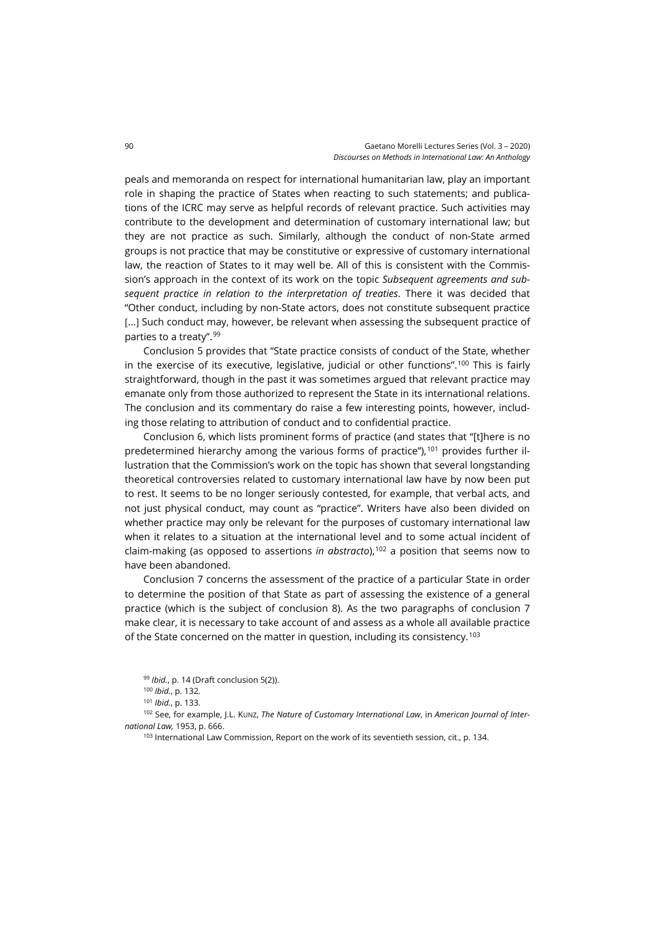peals and memoranda on respect for international humanitarian law, play an important role in shaping the practice of States when reacting to such statements; and publications of the ICRC may serve as helpful records of relevant practice. Such activities may contribute to the development and determination of customary international law; but they are not practice as such. Similarly, although the conduct of non-State armed groups is not practice that may be constitutive or expressive of customary international law, the reaction of States to it may well be. All of this is consistent with the Commission's approach in the context of its work on the topic *Subsequent agreements and subsequent practice in relation to the interpretation of treaties*. There it was decided that "Other conduct, including by non-State actors, does not constitute subsequent practice [...] Such conduct may, however, be relevant when assessing the subsequent practice of parties to a treaty". [99](#page-25-0)

Conclusion 5 provides that "State practice consists of conduct of the State, whether in the exercise of its executive, legislative, judicial or other functions".<sup>100</sup> This is fairly straightforward, though in the past it was sometimes argued that relevant practice may emanate only from those authorized to represent the State in its international relations. The conclusion and its commentary do raise a few interesting points, however, including those relating to attribution of conduct and to confidential practice.

Conclusion 6, which lists prominent forms of practice (and states that "[t]here is no predetermined hierarchy among the various forms of practice"), $101$  provides further illustration that the Commission's work on the topic has shown that several longstanding theoretical controversies related to customary international law have by now been put to rest. It seems to be no longer seriously contested, for example, that verbal acts, and not just physical conduct, may count as "practice". Writers have also been divided on whether practice may only be relevant for the purposes of customary international law when it relates to a situation at the international level and to some actual incident of claim-making (as opposed to assertions *in abstracto*),[102](#page-25-3) a position that seems now to have been abandoned.

Conclusion 7 concerns the assessment of the practice of a particular State in order to determine the position of that State as part of assessing the existence of a general practice (which is the subject of conclusion 8). As the two paragraphs of conclusion 7 make clear, it is necessary to take account of and assess as a whole all available practice of the State concerned on the matter in question, including its consistency.[103](#page-25-4)

<sup>99</sup> *Ibid.*, p. 14 (Draft conclusion 5(2)).

<span id="page-25-4"></span><span id="page-25-3"></span><span id="page-25-2"></span><span id="page-25-1"></span><span id="page-25-0"></span><sup>102</sup> See, for example, J.L. KUNZ, *The Nature of Customary International Law*, in *American Journal of International Law,* 1953, p. 666.

<sup>103</sup> International Law Commission, Report on the work of its seventieth session, cit., p. 134.

<sup>100</sup> *Ibid.*, p. 132.

<sup>101</sup> *Ibid.*, p. 133.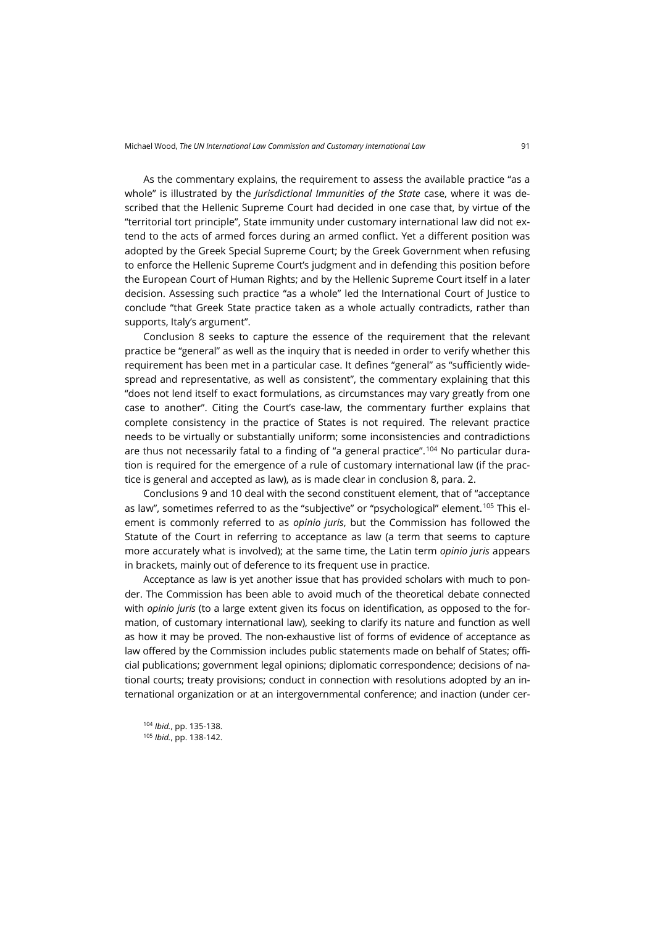As the commentary explains, the requirement to assess the available practice "as a whole" is illustrated by the *Jurisdictional Immunities of the State* case, where it was described that the Hellenic Supreme Court had decided in one case that, by virtue of the "territorial tort principle", State immunity under customary international law did not extend to the acts of armed forces during an armed conflict. Yet a different position was adopted by the Greek Special Supreme Court; by the Greek Government when refusing to enforce the Hellenic Supreme Court's judgment and in defending this position before the European Court of Human Rights; and by the Hellenic Supreme Court itself in a later decision. Assessing such practice "as a whole" led the International Court of Justice to conclude "that Greek State practice taken as a whole actually contradicts, rather than supports, Italy's argument".

Conclusion 8 seeks to capture the essence of the requirement that the relevant practice be "general" as well as the inquiry that is needed in order to verify whether this requirement has been met in a particular case. It defines "general" as "sufficiently widespread and representative, as well as consistent", the commentary explaining that this "does not lend itself to exact formulations, as circumstances may vary greatly from one case to another". Citing the Court's case-law, the commentary further explains that complete consistency in the practice of States is not required. The relevant practice needs to be virtually or substantially uniform; some inconsistencies and contradictions are thus not necessarily fatal to a finding of "a general practice".<sup>[104](#page-26-0)</sup> No particular duration is required for the emergence of a rule of customary international law (if the practice is general and accepted as law), as is made clear in conclusion 8, para. 2.

Conclusions 9 and 10 deal with the second constituent element, that of "acceptance as law", sometimes referred to as the "subjective" or "psychological" element.<sup>[105](#page-26-1)</sup> This element is commonly referred to as *opinio juris*, but the Commission has followed the Statute of the Court in referring to acceptance as law (a term that seems to capture more accurately what is involved); at the same time, the Latin term *opinio juris* appears in brackets, mainly out of deference to its frequent use in practice.

Acceptance as law is yet another issue that has provided scholars with much to ponder. The Commission has been able to avoid much of the theoretical debate connected with *opinio juris* (to a large extent given its focus on identification, as opposed to the formation, of customary international law), seeking to clarify its nature and function as well as how it may be proved. The non-exhaustive list of forms of evidence of acceptance as law offered by the Commission includes public statements made on behalf of States; official publications; government legal opinions; diplomatic correspondence; decisions of national courts; treaty provisions; conduct in connection with resolutions adopted by an international organization or at an intergovernmental conference; and inaction (under cer-

<span id="page-26-1"></span><span id="page-26-0"></span><sup>104</sup> *Ibid.*, pp. 135-138. <sup>105</sup> *Ibid.*, pp. 138-142.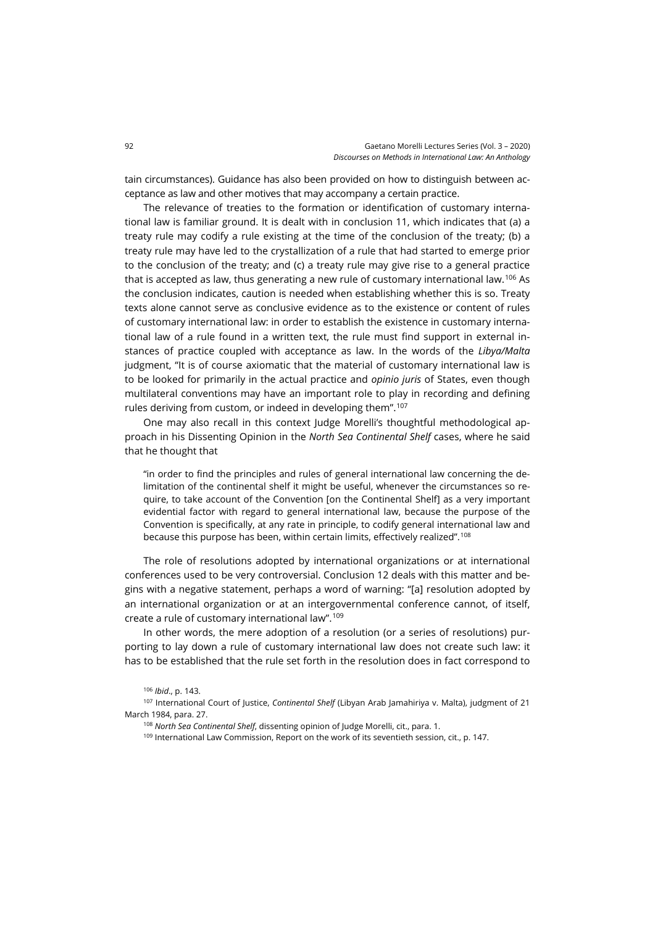tain circumstances). Guidance has also been provided on how to distinguish between acceptance as law and other motives that may accompany a certain practice.

The relevance of treaties to the formation or identification of customary international law is familiar ground. It is dealt with in conclusion 11, which indicates that (a) a treaty rule may codify a rule existing at the time of the conclusion of the treaty; (b) a treaty rule may have led to the crystallization of a rule that had started to emerge prior to the conclusion of the treaty; and (c) a treaty rule may give rise to a general practice that is accepted as law, thus generating a new rule of customary international law.<sup>[106](#page-27-0)</sup> As the conclusion indicates, caution is needed when establishing whether this is so. Treaty texts alone cannot serve as conclusive evidence as to the existence or content of rules of customary international law: in order to establish the existence in customary international law of a rule found in a written text, the rule must find support in external instances of practice coupled with acceptance as law. In the words of the *Libya/Malta* judgment, "It is of course axiomatic that the material of customary international law is to be looked for primarily in the actual practice and *opinio juris* of States, even though multilateral conventions may have an important role to play in recording and defining rules deriving from custom, or indeed in developing them". [107](#page-27-1)

One may also recall in this context Judge Morelli's thoughtful methodological approach in his Dissenting Opinion in the *North Sea Continental Shelf* cases, where he said that he thought that

"in order to find the principles and rules of general international law concerning the delimitation of the continental shelf it might be useful, whenever the circumstances so require, to take account of the Convention [on the Continental Shelf] as a very important evidential factor with regard to general international law, because the purpose of the Convention is specifically, at any rate in principle, to codify general international law and because this purpose has been, within certain limits, effectively realized". [108](#page-27-2)

The role of resolutions adopted by international organizations or at international conferences used to be very controversial. Conclusion 12 deals with this matter and begins with a negative statement, perhaps a word of warning: "[a] resolution adopted by an international organization or at an intergovernmental conference cannot, of itself, create a rule of customary international law". [109](#page-27-3)

In other words, the mere adoption of a resolution (or a series of resolutions) purporting to lay down a rule of customary international law does not create such law: it has to be established that the rule set forth in the resolution does in fact correspond to

109 International Law Commission, Report on the work of its seventieth session, cit., p. 147.

<sup>106</sup> *Ibid*., p. 143.

<span id="page-27-3"></span><span id="page-27-2"></span><span id="page-27-1"></span><span id="page-27-0"></span><sup>107</sup> International Court of Justice, *Continental Shelf* (Libyan Arab Jamahiriya v. Malta), judgment of 21 March 1984, para. 27.

<sup>108</sup> *North Sea Continental Shelf*, dissenting opinion of Judge Morelli, cit., para. 1.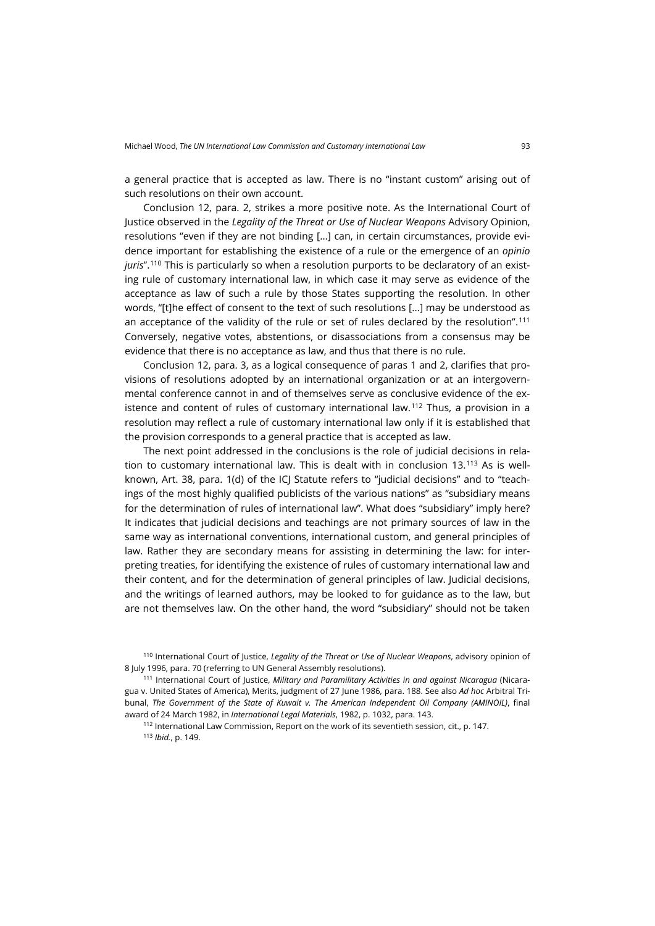a general practice that is accepted as law. There is no "instant custom" arising out of such resolutions on their own account.

Conclusion 12, para. 2, strikes a more positive note. As the International Court of Justice observed in the *Legality of the Threat or Use of Nuclear Weapons* Advisory Opinion, resolutions "even if they are not binding […] can, in certain circumstances, provide evidence important for establishing the existence of a rule or the emergence of an *opinio juris*".[110](#page-28-0) This is particularly so when a resolution purports to be declaratory of an existing rule of customary international law, in which case it may serve as evidence of the acceptance as law of such a rule by those States supporting the resolution. In other words, "[t]he effect of consent to the text of such resolutions […] may be understood as an acceptance of the validity of the rule or set of rules declared by the resolution".[111](#page-28-1) Conversely, negative votes, abstentions, or disassociations from a consensus may be evidence that there is no acceptance as law, and thus that there is no rule.

Conclusion 12, para. 3, as a logical consequence of paras 1 and 2, clarifies that provisions of resolutions adopted by an international organization or at an intergovernmental conference cannot in and of themselves serve as conclusive evidence of the ex-istence and content of rules of customary international law.<sup>[112](#page-28-2)</sup> Thus, a provision in a resolution may reflect a rule of customary international law only if it is established that the provision corresponds to a general practice that is accepted as law.

The next point addressed in the conclusions is the role of judicial decisions in rela-tion to customary international law. This is dealt with in conclusion 13.<sup>[113](#page-28-3)</sup> As is wellknown, Art. 38, para. 1(d) of the ICJ Statute refers to "judicial decisions" and to "teachings of the most highly qualified publicists of the various nations" as "subsidiary means for the determination of rules of international law". What does "subsidiary" imply here? It indicates that judicial decisions and teachings are not primary sources of law in the same way as international conventions, international custom, and general principles of law. Rather they are secondary means for assisting in determining the law: for interpreting treaties, for identifying the existence of rules of customary international law and their content, and for the determination of general principles of law. Judicial decisions, and the writings of learned authors, may be looked to for guidance as to the law, but are not themselves law. On the other hand, the word "subsidiary" should not be taken

<sup>112</sup> International Law Commission, Report on the work of its seventieth session, cit., p. 147.

<sup>113</sup> *Ibid.*, p. 149.

<span id="page-28-0"></span><sup>110</sup> International Court of Justice, *Legality of the Threat or Use of Nuclear Weapons*, advisory opinion of 8 July 1996, para. 70 (referring to UN General Assembly resolutions).

<span id="page-28-3"></span><span id="page-28-2"></span><span id="page-28-1"></span><sup>111</sup> International Court of Justice, *Military and Paramilitary Activities in and against Nicaragua* (Nicaragua v. United States of America), Merits, judgment of 27 June 1986, para. 188. See also *Ad hoc* Arbitral Tribunal, *The Government of the State of Kuwait v. The American Independent Oil Company (AMINOIL)*, final award of 24 March 1982, in *International Legal Materials*, 1982, p. 1032, para. 143.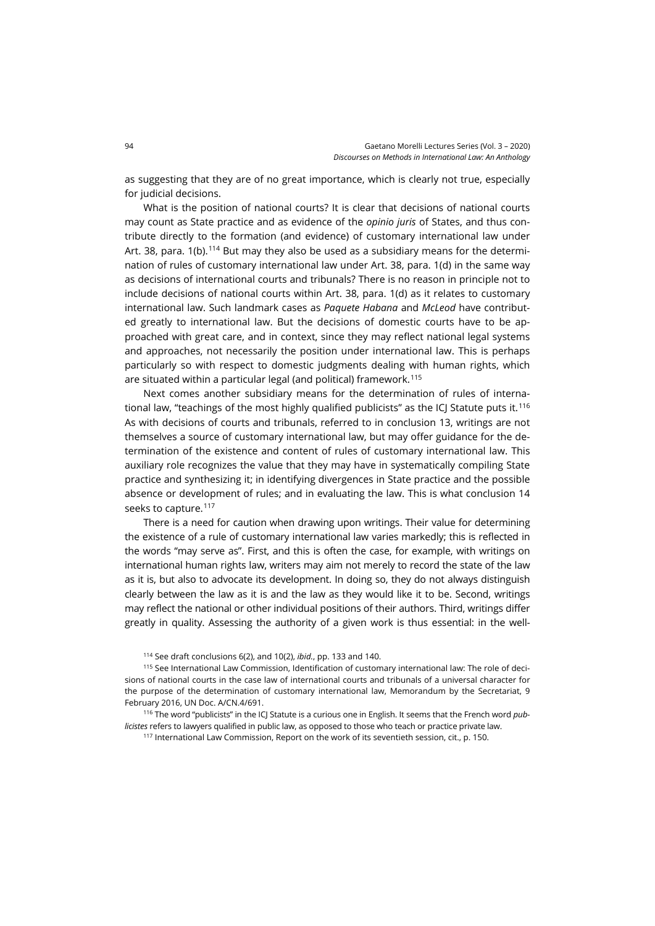as suggesting that they are of no great importance, which is clearly not true, especially for judicial decisions.

What is the position of national courts? It is clear that decisions of national courts may count as State practice and as evidence of the *opinio juris* of States, and thus contribute directly to the formation (and evidence) of customary international law under Art. 38, para. 1(b).<sup>[114](#page-29-0)</sup> But may they also be used as a subsidiary means for the determination of rules of customary international law under Art. 38, para. 1(d) in the same way as decisions of international courts and tribunals? There is no reason in principle not to include decisions of national courts within Art. 38, para. 1(d) as it relates to customary international law. Such landmark cases as *Paquete Habana* and *McLeod* have contributed greatly to international law. But the decisions of domestic courts have to be approached with great care, and in context, since they may reflect national legal systems and approaches, not necessarily the position under international law. This is perhaps particularly so with respect to domestic judgments dealing with human rights, which are situated within a particular legal (and political) framework.[115](#page-29-1)

Next comes another subsidiary means for the determination of rules of interna-tional law, "teachings of the most highly qualified publicists" as the ICI Statute puts it.<sup>[116](#page-29-2)</sup> As with decisions of courts and tribunals, referred to in conclusion 13, writings are not themselves a source of customary international law, but may offer guidance for the determination of the existence and content of rules of customary international law. This auxiliary role recognizes the value that they may have in systematically compiling State practice and synthesizing it; in identifying divergences in State practice and the possible absence or development of rules; and in evaluating the law. This is what conclusion 14 seeks to capture.<sup>[117](#page-29-3)</sup>

There is a need for caution when drawing upon writings. Their value for determining the existence of a rule of customary international law varies markedly; this is reflected in the words "may serve as". First, and this is often the case, for example, with writings on international human rights law, writers may aim not merely to record the state of the law as it is, but also to advocate its development. In doing so, they do not always distinguish clearly between the law as it is and the law as they would like it to be. Second, writings may reflect the national or other individual positions of their authors. Third, writings differ greatly in quality. Assessing the authority of a given work is thus essential: in the well-

<sup>114</sup> See draft conclusions 6(2), and 10(2), *ibid.*, pp. 133 and 140.

<span id="page-29-1"></span><span id="page-29-0"></span><sup>115</sup> See International Law Commission, Identification of customary international law: The role of decisions of national courts in the case law of international courts and tribunals of a universal character for the purpose of the determination of customary international law, Memorandum by the Secretariat, 9 February 2016, UN Doc. A/CN.4/691.

<span id="page-29-3"></span><span id="page-29-2"></span><sup>116</sup> The word "publicists" in the ICJ Statute is a curious one in English. It seems that the French word *publicistes* refers to lawyers qualified in public law, as opposed to those who teach or practice private law.

<sup>117</sup> International Law Commission, Report on the work of its seventieth session, cit., p. 150.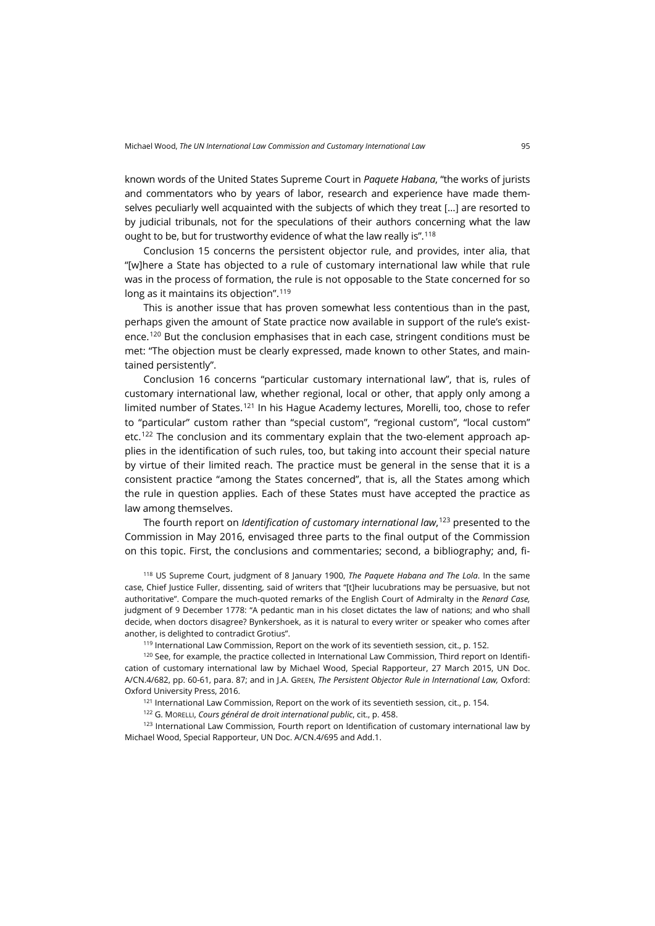known words of the United States Supreme Court in *Paquete Habana*, "the works of jurists and commentators who by years of labor, research and experience have made themselves peculiarly well acquainted with the subjects of which they treat […] are resorted to by judicial tribunals, not for the speculations of their authors concerning what the law ought to be, but for trustworthy evidence of what the law really is". [118](#page-30-0)

Conclusion 15 concerns the persistent objector rule, and provides, inter alia, that "[w]here a State has objected to a rule of customary international law while that rule was in the process of formation, the rule is not opposable to the State concerned for so long as it maintains its objection". [119](#page-30-1)

This is another issue that has proven somewhat less contentious than in the past, perhaps given the amount of State practice now available in support of the rule's existence.[120](#page-30-2) But the conclusion emphasises that in each case, stringent conditions must be met: "The objection must be clearly expressed, made known to other States, and maintained persistently".

Conclusion 16 concerns "particular customary international law", that is, rules of customary international law, whether regional, local or other, that apply only among a limited number of States.[121](#page-30-3) In his Hague Academy lectures, Morelli, too, chose to refer to "particular" custom rather than "special custom", "regional custom", "local custom" etc.[122](#page-30-4) The conclusion and its commentary explain that the two-element approach applies in the identification of such rules, too, but taking into account their special nature by virtue of their limited reach. The practice must be general in the sense that it is a consistent practice "among the States concerned", that is, all the States among which the rule in question applies. Each of these States must have accepted the practice as law among themselves.

The fourth report on *Identification of customary international law*, [123](#page-30-5) presented to the Commission in May 2016, envisaged three parts to the final output of the Commission on this topic. First, the conclusions and commentaries; second, a bibliography; and, fi-

<span id="page-30-0"></span><sup>118</sup> US Supreme Court, judgment of 8 January 1900, *The Paquete Habana and The Lola*. In the same case, Chief Justice Fuller, dissenting, said of writers that "[t]heir lucubrations may be persuasive, but not authoritative". Compare the much-quoted remarks of the English Court of Admiralty in the *Renard Case,* judgment of 9 December 1778: "A pedantic man in his closet dictates the law of nations; and who shall decide, when doctors disagree? Bynkershoek, as it is natural to every writer or speaker who comes after another, is delighted to contradict Grotius".

119 International Law Commission, Report on the work of its seventieth session, cit., p. 152.

<span id="page-30-2"></span><span id="page-30-1"></span><sup>120</sup> See, for example, the practice collected in International Law Commission, Third report on Identification of customary international law by Michael Wood, Special Rapporteur, 27 March 2015, UN Doc. A/CN.4/682, pp. 60-61, para. 87; and in J.A. GREEN, *The Persistent Objector Rule in International Law,* Oxford: Oxford University Press, 2016.

 $121$  International Law Commission, Report on the work of its seventieth session, cit., p. 154.

<sup>122</sup> G. MORELLI, *Cours général de droit international public*, cit., p. 458.

<span id="page-30-5"></span><span id="page-30-4"></span><span id="page-30-3"></span><sup>123</sup> International Law Commission, Fourth report on Identification of customary international law by Michael Wood, Special Rapporteur, UN Doc. A/CN.4/695 and Add.1.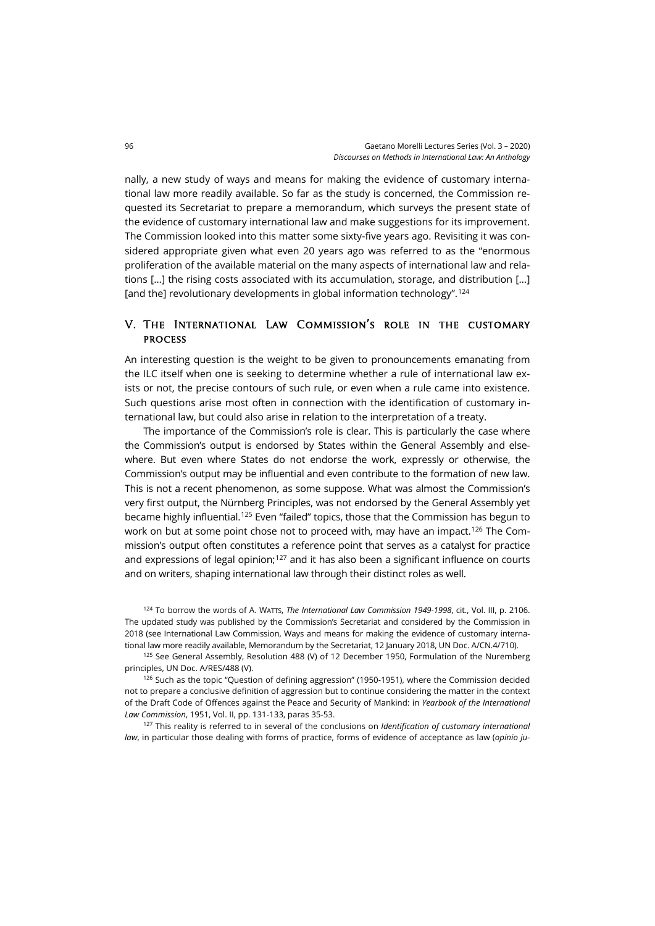nally, a new study of ways and means for making the evidence of customary international law more readily available. So far as the study is concerned, the Commission requested its Secretariat to prepare a memorandum, which surveys the present state of the evidence of customary international law and make suggestions for its improvement. The Commission looked into this matter some sixty-five years ago. Revisiting it was considered appropriate given what even 20 years ago was referred to as the "enormous proliferation of the available material on the many aspects of international law and relations […] the rising costs associated with its accumulation, storage, and distribution […] [and the] revolutionary developments in global information technology". [124](#page-31-0)

## V. The International Law Commission's role in the customary process

An interesting question is the weight to be given to pronouncements emanating from the ILC itself when one is seeking to determine whether a rule of international law exists or not, the precise contours of such rule, or even when a rule came into existence. Such questions arise most often in connection with the identification of customary international law, but could also arise in relation to the interpretation of a treaty.

The importance of the Commission's role is clear. This is particularly the case where the Commission's output is endorsed by States within the General Assembly and elsewhere. But even where States do not endorse the work, expressly or otherwise, the Commission's output may be influential and even contribute to the formation of new law. This is not a recent phenomenon, as some suppose. What was almost the Commission's very first output, the Nürnberg Principles, was not endorsed by the General Assembly yet became highly influential[.125](#page-31-1) Even "failed" topics, those that the Commission has begun to work on but at some point chose not to proceed with, may have an impact.<sup>[126](#page-31-2)</sup> The Commission's output often constitutes a reference point that serves as a catalyst for practice and expressions of legal opinion;<sup>[127](#page-31-3)</sup> and it has also been a significant influence on courts and on writers, shaping international law through their distinct roles as well.

<span id="page-31-1"></span><span id="page-31-0"></span><sup>124</sup> To borrow the words of A. WATTS, *The International Law Commission 1949-1998*, cit., Vol. III, p. 2106. The updated study was published by the Commission's Secretariat and considered by the Commission in 2018 (see International Law Commission, Ways and means for making the evidence of customary international law more readily available, Memorandum by the Secretariat, 12 January 2018, UN Doc. A/CN.4/710).

<span id="page-31-2"></span> $125$  See General Assembly, Resolution 488 (V) of 12 December 1950, Formulation of the Nuremberg principles, UN Doc. A/RES/488 (V).

<span id="page-31-3"></span><sup>126</sup> Such as the topic "Question of defining aggression" (1950-1951), where the Commission decided not to prepare a conclusive definition of aggression but to continue considering the matter in the context of the Draft Code of Offences against the Peace and Security of Mankind: in *Yearbook of the International Law Commission*, 1951, Vol. II, pp. 131-133, paras 35-53.

<sup>127</sup> This reality is referred to in several of the conclusions on *Identification of customary international law*, in particular those dealing with forms of practice, forms of evidence of acceptance as law (*opinio ju-*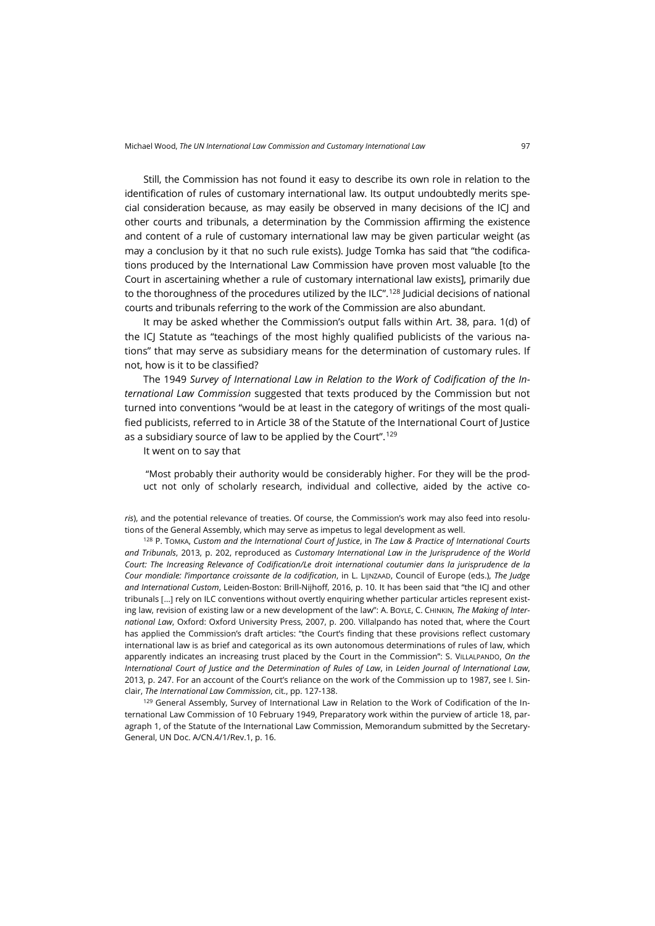Still, the Commission has not found it easy to describe its own role in relation to the identification of rules of customary international law. Its output undoubtedly merits special consideration because, as may easily be observed in many decisions of the ICJ and other courts and tribunals, a determination by the Commission affirming the existence and content of a rule of customary international law may be given particular weight (as may a conclusion by it that no such rule exists). Judge Tomka has said that "the codifications produced by the International Law Commission have proven most valuable [to the Court in ascertaining whether a rule of customary international law exists], primarily due to the thoroughness of the procedures utilized by the ILC". $^{128}$  $^{128}$  $^{128}$  Judicial decisions of national courts and tribunals referring to the work of the Commission are also abundant.

It may be asked whether the Commission's output falls within Art. 38, para. 1(d) of the ICJ Statute as "teachings of the most highly qualified publicists of the various nations" that may serve as subsidiary means for the determination of customary rules. If not, how is it to be classified?

The 1949 *Survey of International Law in Relation to the Work of Codification of the International Law Commission* suggested that texts produced by the Commission but not turned into conventions "would be at least in the category of writings of the most qualified publicists, referred to in Article 38 of the Statute of the International Court of Justice as a subsidiary source of law to be applied by the Court". [129](#page-32-1)

It went on to say that

"Most probably their authority would be considerably higher. For they will be the product not only of scholarly research, individual and collective, aided by the active co-

*ris*), and the potential relevance of treaties. Of course, the Commission's work may also feed into resolutions of the General Assembly, which may serve as impetus to legal development as well.

<span id="page-32-0"></span><sup>128</sup> P. TOMKA, *Custom and the International Court of Justice*, in *The Law & Practice of International Courts and Tribunals*, 2013, p. 202, reproduced as *Customary International Law in the Jurisprudence of the World Court: The Increasing Relevance of Codification/Le droit international coutumier dans la jurisprudence de la Cour mondiale: l'importance croissante de la codification*, in L. LIJNZAAD, Council of Europe (eds.), *The Judge and International Custom*, Leiden-Boston: Brill-Nijhoff, 2016, p. 10. It has been said that "the ICJ and other tribunals […] rely on ILC conventions without overtly enquiring whether particular articles represent existing law, revision of existing law or a new development of the law": A. BOYLE, C. CHINKIN, *The Making of International Law*, Oxford: Oxford University Press, 2007, p. 200. Villalpando has noted that, where the Court has applied the Commission's draft articles: "the Court's finding that these provisions reflect customary international law is as brief and categorical as its own autonomous determinations of rules of law, which apparently indicates an increasing trust placed by the Court in the Commission": S. VILLALPANDO, *On the International Court of Justice and the Determination of Rules of Law*, in *Leiden Journal of International Law*, 2013, p. 247. For an account of the Court's reliance on the work of the Commission up to 1987, see I. Sinclair, *The International Law Commission*, cit., pp. 127-138.

<span id="page-32-1"></span>129 General Assembly, Survey of International Law in Relation to the Work of Codification of the International Law Commission of 10 February 1949, Preparatory work within the purview of article 18, paragraph 1, of the Statute of the International Law Commission, Memorandum submitted by the Secretary-General, UN Doc. A/CN.4/1/Rev.1, p. 16.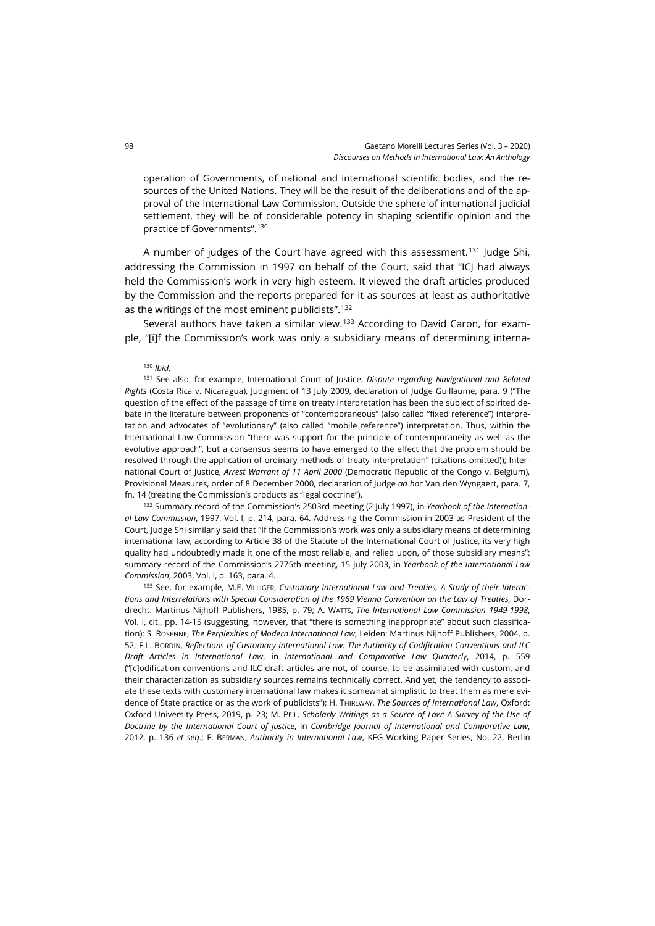operation of Governments, of national and international scientific bodies, and the resources of the United Nations. They will be the result of the deliberations and of the approval of the International Law Commission. Outside the sphere of international judicial settlement, they will be of considerable potency in shaping scientific opinion and the practice of Governments". [130](#page-33-0)

A number of judges of the Court have agreed with this assessment.[131](#page-33-1) Judge Shi, addressing the Commission in 1997 on behalf of the Court, said that "ICJ had always held the Commission's work in very high esteem. It viewed the draft articles produced by the Commission and the reports prepared for it as sources at least as authoritative as the writings of the most eminent publicists". [132](#page-33-2)

<span id="page-33-0"></span>Several authors have taken a similar view.<sup>[133](#page-33-3)</sup> According to David Caron, for example, "[i]f the Commission's work was only a subsidiary means of determining interna-

<sup>130</sup> *Ibid*.

<span id="page-33-1"></span><sup>131</sup> See also, for example, International Court of Justice, *Dispute regarding Navigational and Related Rights* (Costa Rica v. Nicaragua), Judgment of 13 July 2009, declaration of Judge Guillaume, para. 9 ("The question of the effect of the passage of time on treaty interpretation has been the subject of spirited debate in the literature between proponents of "contemporaneous" (also called "fixed reference") interpretation and advocates of "evolutionary" (also called "mobile reference") interpretation. Thus, within the International Law Commission "there was support for the principle of contemporaneity as well as the evolutive approach", but a consensus seems to have emerged to the effect that the problem should be resolved through the application of ordinary methods of treaty interpretation" (citations omitted)); International Court of Justice, *Arrest Warrant of 11 April 2000* (Democratic Republic of the Congo v. Belgium), Provisional Measures, order of 8 December 2000, declaration of Judge *ad hoc* Van den Wyngaert, para. 7, fn. 14 (treating the Commission's products as "legal doctrine").

<span id="page-33-2"></span><sup>132</sup> Summary record of the Commission's 2503rd meeting (2 July 1997), in *Yearbook of the International Law Commission*, 1997, Vol. I, p. 214, para. 64. Addressing the Commission in 2003 as President of the Court, Judge Shi similarly said that "If the Commission's work was only a subsidiary means of determining international law, according to Article 38 of the Statute of the International Court of Justice, its very high quality had undoubtedly made it one of the most reliable, and relied upon, of those subsidiary means": summary record of the Commission's 2775th meeting, 15 July 2003, in *Yearbook of the International Law Commission*, 2003, Vol. I, p. 163, para. 4.

<span id="page-33-3"></span><sup>133</sup> See, for example, M.E. VILLIGER, *Customary International Law and Treaties, A Study of their Interactions and Interrelations with Special Consideration of the 1969 Vienna Convention on the Law of Treaties,* Dordrecht: Martinus Nijhoff Publishers, 1985, p. 79; A. WATTS, *The International Law Commission 1949-1998*, Vol. I, cit., pp. 14-15 (suggesting, however, that "there is something inappropriate" about such classification); S. ROSENNE, *The Perplexities of Modern International Law*, Leiden: Martinus Nijhoff Publishers, 2004, p. 52; F.L. BORDIN, *Reflections of Customary International Law: The Authority of Codification Conventions and ILC Draft Articles in International Law*, in *International and Comparative Law Quarterly*, 2014, p. 559 ("[c]odification conventions and ILC draft articles are not, of course, to be assimilated with custom, and their characterization as subsidiary sources remains technically correct. And yet, the tendency to associate these texts with customary international law makes it somewhat simplistic to treat them as mere evidence of State practice or as the work of publicists"); H. THIRLWAY, *The Sources of International Law*, Oxford: Oxford University Press, 2019, p. 23; M. PEIL, *Scholarly Writings as a Source of Law: A Survey of the Use of Doctrine by the International Court of Justice*, in *Cambridge Journal of International and Comparative Law*, 2012, p. 136 *et seq*.; F. BERMAN, *Authority in International Law*, KFG Working Paper Series, No. 22, Berlin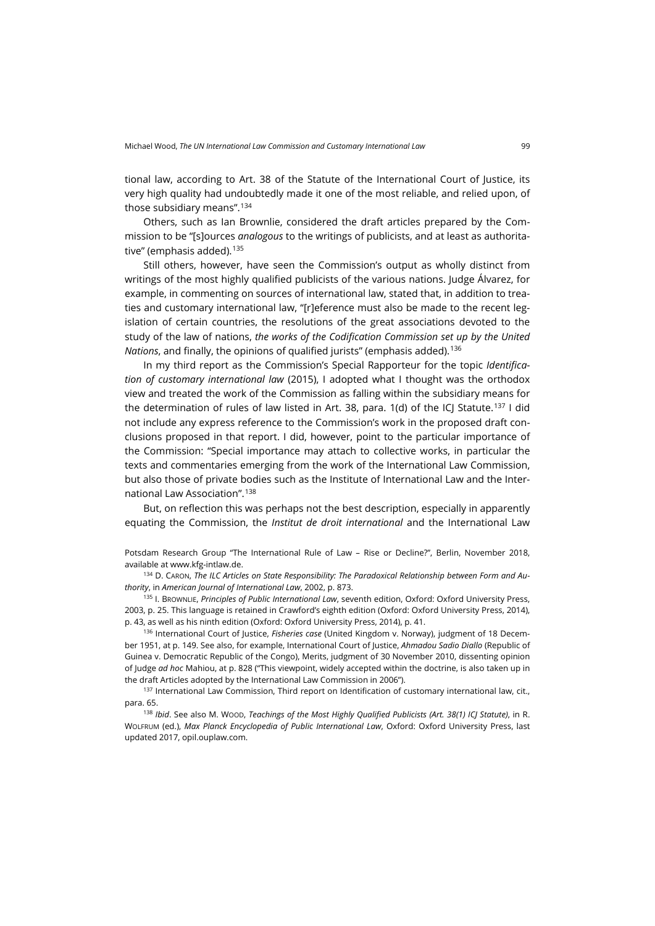tional law, according to Art. 38 of the Statute of the International Court of Justice, its very high quality had undoubtedly made it one of the most reliable, and relied upon, of those subsidiary means". [134](#page-34-0)

Others, such as Ian Brownlie, considered the draft articles prepared by the Commission to be "[s]ources *analogous* to the writings of publicists, and at least as authorita-tive" (emphasis added).<sup>[135](#page-34-1)</sup>

Still others, however, have seen the Commission's output as wholly distinct from writings of the most highly qualified publicists of the various nations. Judge Álvarez, for example, in commenting on sources of international law, stated that, in addition to treaties and customary international law, "[r]eference must also be made to the recent legislation of certain countries, the resolutions of the great associations devoted to the study of the law of nations, *the works of the Codification Commission set up by the United Nations*, and finally, the opinions of qualified jurists" (emphasis added).<sup>[136](#page-34-2)</sup>

In my third report as the Commission's Special Rapporteur for the topic *Identification of customary international law* (2015), I adopted what I thought was the orthodox view and treated the work of the Commission as falling within the subsidiary means for the determination of rules of law listed in Art. 38, para. 1(d) of the ICI Statute.<sup>[137](#page-34-3)</sup> I did not include any express reference to the Commission's work in the proposed draft conclusions proposed in that report. I did, however, point to the particular importance of the Commission: "Special importance may attach to collective works, in particular the texts and commentaries emerging from the work of the International Law Commission, but also those of private bodies such as the Institute of International Law and the International Law Association". [138](#page-34-4)

But, on reflection this was perhaps not the best description, especially in apparently equating the Commission, the *Institut de droit international* and the International Law

Potsdam Research Group "The International Rule of Law – Rise or Decline?", Berlin, November 2018, available a[t www.kfg-intlaw.de.](https://www.kfg-intlaw.de/Publications/working_papers.php?ID=1)

<span id="page-34-0"></span><sup>134</sup> D. CARON, *The ILC Articles on State Responsibility: The Paradoxical Relationship between Form and Authority*, in *American Journal of International Law*, 2002, p. 873.

<span id="page-34-1"></span><sup>135</sup> I. BROWNLIE, *Principles of Public International Law*, seventh edition, Oxford: Oxford University Press, 2003, p. 25. This language is retained in Crawford's eighth edition (Oxford: Oxford University Press, 2014), p. 43, as well as his ninth edition (Oxford: Oxford University Press, 2014), p. 41.

<span id="page-34-2"></span><sup>136</sup> International Court of Justice, *Fisheries case* (United Kingdom v. Norway), judgment of 18 December 1951, at p. 149. See also, for example, International Court of Justice, *Ahmadou Sadio Diallo* (Republic of Guinea v. Democratic Republic of the Congo), Merits, judgment of 30 November 2010, dissenting opinion of Judge *ad hoc* Mahiou, at p. 828 ("This viewpoint, widely accepted within the doctrine, is also taken up in the draft Articles adopted by the International Law Commission in 2006").

<span id="page-34-3"></span><sup>137</sup> International Law Commission, Third report on Identification of customary international law, cit., para. 65.

<span id="page-34-4"></span><sup>138</sup> *Ibid*. See also M. WOOD, *Teachings of the Most Highly Qualified Publicists (Art. 38(1) ICJ Statute)*, in R. WOLFRUM (ed.), *Max Planck Encyclopedia of Public International Law*, Oxford: Oxford University Press, last updated 2017, [opil.ouplaw.com.](https://opil.ouplaw.com/view/10.1093/law:epil/9780199231690/law-9780199231690-e1480)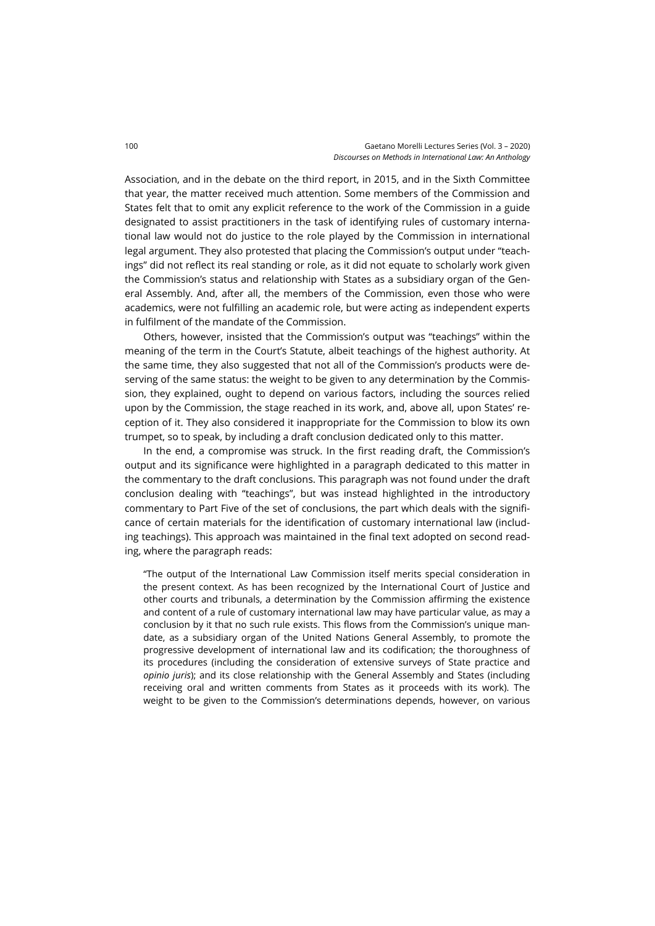Association, and in the debate on the third report, in 2015, and in the Sixth Committee that year, the matter received much attention. Some members of the Commission and States felt that to omit any explicit reference to the work of the Commission in a guide designated to assist practitioners in the task of identifying rules of customary international law would not do justice to the role played by the Commission in international legal argument. They also protested that placing the Commission's output under "teachings" did not reflect its real standing or role, as it did not equate to scholarly work given the Commission's status and relationship with States as a subsidiary organ of the General Assembly. And, after all, the members of the Commission, even those who were academics, were not fulfilling an academic role, but were acting as independent experts in fulfilment of the mandate of the Commission.

Others, however, insisted that the Commission's output was "teachings" within the meaning of the term in the Court's Statute, albeit teachings of the highest authority. At the same time, they also suggested that not all of the Commission's products were deserving of the same status: the weight to be given to any determination by the Commission, they explained, ought to depend on various factors, including the sources relied upon by the Commission, the stage reached in its work, and, above all, upon States' reception of it. They also considered it inappropriate for the Commission to blow its own trumpet, so to speak, by including a draft conclusion dedicated only to this matter.

In the end, a compromise was struck. In the first reading draft, the Commission's output and its significance were highlighted in a paragraph dedicated to this matter in the commentary to the draft conclusions. This paragraph was not found under the draft conclusion dealing with "teachings", but was instead highlighted in the introductory commentary to Part Five of the set of conclusions, the part which deals with the significance of certain materials for the identification of customary international law (including teachings). This approach was maintained in the final text adopted on second reading, where the paragraph reads:

"The output of the International Law Commission itself merits special consideration in the present context. As has been recognized by the International Court of Justice and other courts and tribunals, a determination by the Commission affirming the existence and content of a rule of customary international law may have particular value, as may a conclusion by it that no such rule exists. This flows from the Commission's unique mandate, as a subsidiary organ of the United Nations General Assembly, to promote the progressive development of international law and its codification; the thoroughness of its procedures (including the consideration of extensive surveys of State practice and *opinio juris*); and its close relationship with the General Assembly and States (including receiving oral and written comments from States as it proceeds with its work). The weight to be given to the Commission's determinations depends, however, on various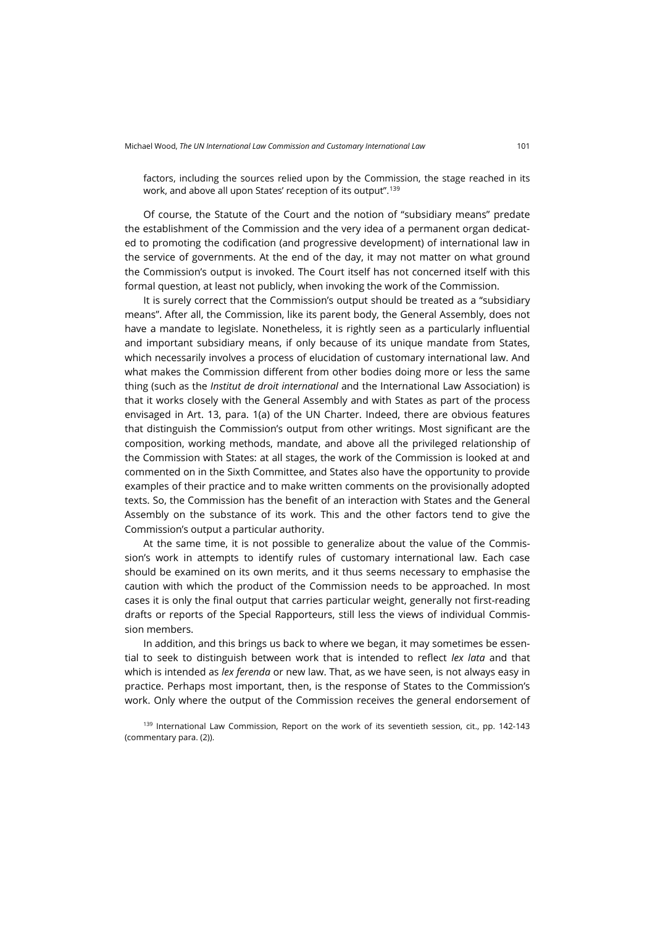factors, including the sources relied upon by the Commission, the stage reached in its work, and above all upon States' reception of its output". [139](#page-36-0)

Of course, the Statute of the Court and the notion of "subsidiary means" predate the establishment of the Commission and the very idea of a permanent organ dedicated to promoting the codification (and progressive development) of international law in the service of governments. At the end of the day, it may not matter on what ground the Commission's output is invoked. The Court itself has not concerned itself with this formal question, at least not publicly, when invoking the work of the Commission.

It is surely correct that the Commission's output should be treated as a "subsidiary means". After all, the Commission, like its parent body, the General Assembly, does not have a mandate to legislate. Nonetheless, it is rightly seen as a particularly influential and important subsidiary means, if only because of its unique mandate from States, which necessarily involves a process of elucidation of customary international law. And what makes the Commission different from other bodies doing more or less the same thing (such as the *Institut de droit international* and the International Law Association) is that it works closely with the General Assembly and with States as part of the process envisaged in Art. 13, para. 1(a) of the UN Charter. Indeed, there are obvious features that distinguish the Commission's output from other writings. Most significant are the composition, working methods, mandate, and above all the privileged relationship of the Commission with States: at all stages, the work of the Commission is looked at and commented on in the Sixth Committee, and States also have the opportunity to provide examples of their practice and to make written comments on the provisionally adopted texts. So, the Commission has the benefit of an interaction with States and the General Assembly on the substance of its work. This and the other factors tend to give the Commission's output a particular authority.

At the same time, it is not possible to generalize about the value of the Commission's work in attempts to identify rules of customary international law. Each case should be examined on its own merits, and it thus seems necessary to emphasise the caution with which the product of the Commission needs to be approached. In most cases it is only the final output that carries particular weight, generally not first-reading drafts or reports of the Special Rapporteurs, still less the views of individual Commission members.

In addition, and this brings us back to where we began, it may sometimes be essential to seek to distinguish between work that is intended to reflect *lex lata* and that which is intended as *lex ferenda* or new law. That, as we have seen, is not always easy in practice. Perhaps most important, then, is the response of States to the Commission's work. Only where the output of the Commission receives the general endorsement of

<span id="page-36-0"></span><sup>139</sup> International Law Commission, Report on the work of its seventieth session, cit., pp. 142-143 (commentary para. (2)).